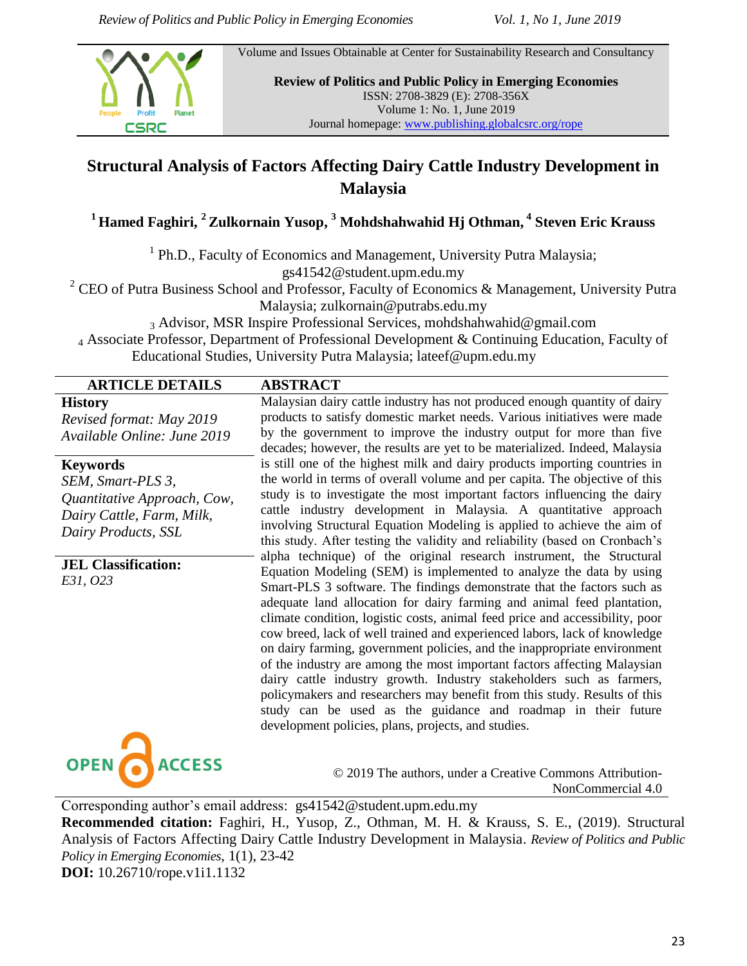Volume and Issues Obtainable at Center for Sustainability Research and Consultancy



**Review of Politics and Public Policy in Emerging Economies** ISSN: 2708-3829 (E): 2708-356X Volume 1: No. 1, June 2019 Journal homepage[: www.publishing.globalcsrc.org/rope](http://www.publishing.globalcsrc.org/rope)

Malaysian dairy cattle industry has not produced enough quantity of dairy products to satisfy domestic market needs. Various initiatives were made by the government to improve the industry output for more than five decades; however, the results are yet to be materialized. Indeed, Malaysia is still one of the highest milk and dairy products importing countries in the world in terms of overall volume and per capita. The objective of this study is to investigate the most important factors influencing the dairy cattle industry development in Malaysia. A quantitative approach involving Structural Equation Modeling is applied to achieve the aim of this study. After testing the validity and reliability (based on Cronbach's alpha technique) of the original research instrument, the Structural Equation Modeling (SEM) is implemented to analyze the data by using Smart-PLS 3 software. The findings demonstrate that the factors such as adequate land allocation for dairy farming and animal feed plantation, climate condition, logistic costs, animal feed price and accessibility, poor cow breed, lack of well trained and experienced labors, lack of knowledge on dairy farming, government policies, and the inappropriate environment of the industry are among the most important factors affecting Malaysian dairy cattle industry growth. Industry stakeholders such as farmers, policymakers and researchers may benefit from this study. Results of this study can be used as the guidance and roadmap in their future

# **Structural Analysis of Factors Affecting Dairy Cattle Industry Development in Malaysia**

**<sup>1</sup> Hamed Faghiri, <sup>2</sup>Zulkornain Yusop, <sup>3</sup> Mohdshahwahid Hj Othman, <sup>4</sup> Steven Eric Krauss** 

<sup>1</sup> Ph.D., Faculty of Economics and Management, University Putra Malaysia; gs41542@student.upm.edu.my

<sup>2</sup> CEO of Putra Business School and Professor, Faculty of Economics & Management, University Putra

Malaysia; zulkornain@putrabs.edu.my

<sup>3</sup> Advisor, MSR Inspire Professional Services, mohdshahwahid@gmail.com <sup>4</sup> Associate Professor, Department of Professional Development & Continuing Education, Faculty of Educational Studies, University Putra Malaysia; lateef@upm.edu.my

### **ARTICLE DETAILS ABSTRACT**

**History**

*Revised format: May 2019 Available Online: June 2019*

#### **Keywords**

*SEM, Smart-PLS 3, Quantitative Approach, Cow, Dairy Cattle, Farm, Milk, Dairy Products, SSL*

**JEL Classification:**  *E31, O23*



© 2019 The authors, under a Creative Commons Attribution-NonCommercial 4.0

Corresponding author's email address: gs41542@student.upm.edu.my

**Recommended citation:** Faghiri, H., Yusop, Z., Othman, M. H. & Krauss, S. E., (2019). Structural Analysis of Factors Affecting Dairy Cattle Industry Development in Malaysia. *Review of Politics and Public Policy in Emerging Economies*, 1(1), 23-42 **DOI:** 10.26710/rope.v1i1.1132

development policies, plans, projects, and studies.

23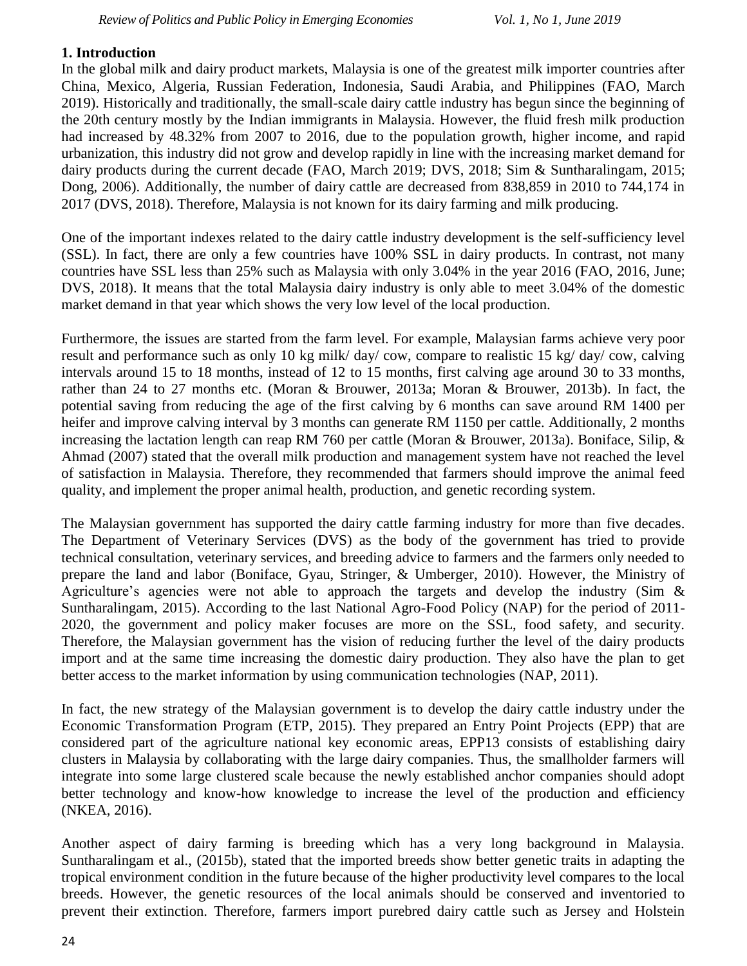### **1. Introduction**

In the global milk and dairy product markets, Malaysia is one of the greatest milk importer countries after China, Mexico, Algeria, Russian Federation, Indonesia, Saudi Arabia, and Philippines (FAO, March 2019). Historically and traditionally, the small-scale dairy cattle industry has begun since the beginning of the 20th century mostly by the Indian immigrants in Malaysia. However, the fluid fresh milk production had increased by 48.32% from 2007 to 2016, due to the population growth, higher income, and rapid urbanization, this industry did not grow and develop rapidly in line with the increasing market demand for dairy products during the current decade (FAO, March 2019; DVS, 2018; Sim & Suntharalingam, 2015; Dong, 2006). Additionally, the number of dairy cattle are decreased from 838,859 in 2010 to 744,174 in 2017 (DVS, 2018). Therefore, Malaysia is not known for its dairy farming and milk producing.

One of the important indexes related to the dairy cattle industry development is the self-sufficiency level (SSL). In fact, there are only a few countries have 100% SSL in dairy products. In contrast, not many countries have SSL less than 25% such as Malaysia with only 3.04% in the year 2016 (FAO, 2016, June; DVS, 2018). It means that the total Malaysia dairy industry is only able to meet 3.04% of the domestic market demand in that year which shows the very low level of the local production.

Furthermore, the issues are started from the farm level. For example, Malaysian farms achieve very poor result and performance such as only 10 kg milk/ day/ cow, compare to realistic 15 kg/ day/ cow, calving intervals around 15 to 18 months, instead of 12 to 15 months, first calving age around 30 to 33 months, rather than 24 to 27 months etc. (Moran & Brouwer, 2013a; Moran & Brouwer, 2013b). In fact, the potential saving from reducing the age of the first calving by 6 months can save around RM 1400 per heifer and improve calving interval by 3 months can generate RM 1150 per cattle. Additionally, 2 months increasing the lactation length can reap RM 760 per cattle (Moran & Brouwer, 2013a). Boniface, Silip, & Ahmad (2007) stated that the overall milk production and management system have not reached the level of satisfaction in Malaysia. Therefore, they recommended that farmers should improve the animal feed quality, and implement the proper animal health, production, and genetic recording system.

The Malaysian government has supported the dairy cattle farming industry for more than five decades. The Department of Veterinary Services (DVS) as the body of the government has tried to provide technical consultation, veterinary services, and breeding advice to farmers and the farmers only needed to prepare the land and labor (Boniface, Gyau, Stringer, & Umberger, 2010). However, the Ministry of Agriculture's agencies were not able to approach the targets and develop the industry (Sim  $\&$ Suntharalingam, 2015). According to the last National Agro-Food Policy (NAP) for the period of 2011- 2020, the government and policy maker focuses are more on the SSL, food safety, and security. Therefore, the Malaysian government has the vision of reducing further the level of the dairy products import and at the same time increasing the domestic dairy production. They also have the plan to get better access to the market information by using communication technologies (NAP, 2011).

In fact, the new strategy of the Malaysian government is to develop the dairy cattle industry under the Economic Transformation Program (ETP, 2015). They prepared an Entry Point Projects (EPP) that are considered part of the agriculture national key economic areas, EPP13 consists of establishing dairy clusters in Malaysia by collaborating with the large dairy companies. Thus, the smallholder farmers will integrate into some large clustered scale because the newly established anchor companies should adopt better technology and know-how knowledge to increase the level of the production and efficiency (NKEA, 2016).

Another aspect of dairy farming is breeding which has a very long background in Malaysia. Suntharalingam et al., (2015b), stated that the imported breeds show better genetic traits in adapting the tropical environment condition in the future because of the higher productivity level compares to the local breeds. However, the genetic resources of the local animals should be conserved and inventoried to prevent their extinction. Therefore, farmers import purebred dairy cattle such as Jersey and Holstein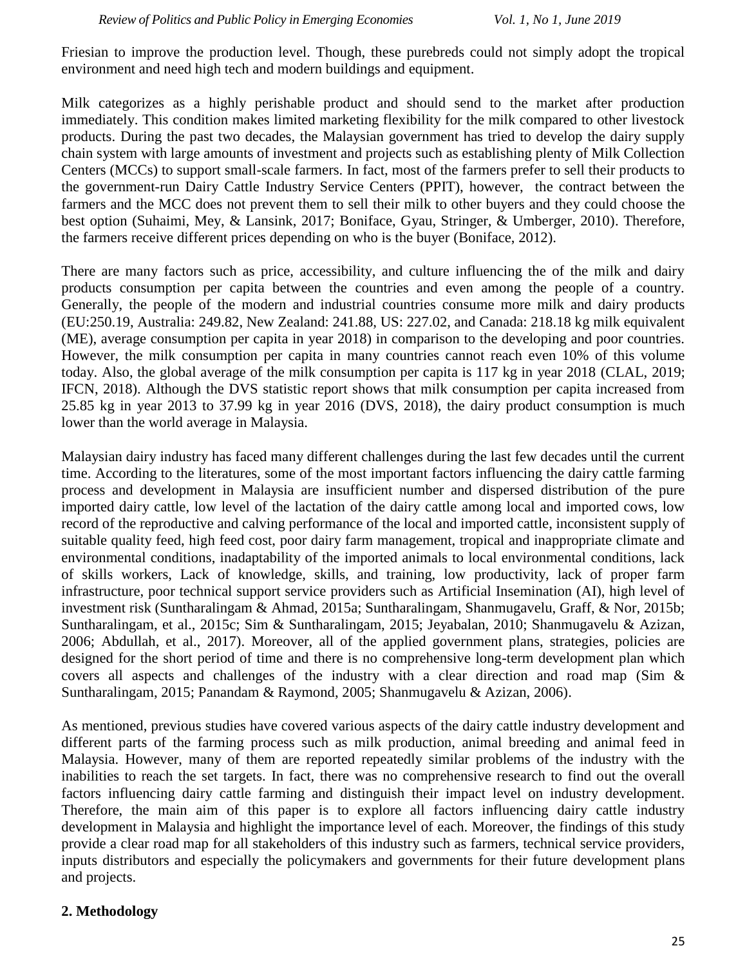Friesian to improve the production level. Though, these purebreds could not simply adopt the tropical environment and need high tech and modern buildings and equipment.

Milk categorizes as a highly perishable product and should send to the market after production immediately. This condition makes limited marketing flexibility for the milk compared to other livestock products. During the past two decades, the Malaysian government has tried to develop the dairy supply chain system with large amounts of investment and projects such as establishing plenty of Milk Collection Centers (MCCs) to support small-scale farmers. In fact, most of the farmers prefer to sell their products to the government-run Dairy Cattle Industry Service Centers (PPIT), however, the contract between the farmers and the MCC does not prevent them to sell their milk to other buyers and they could choose the best option (Suhaimi, Mey, & Lansink, 2017; Boniface, Gyau, Stringer, & Umberger, 2010). Therefore, the farmers receive different prices depending on who is the buyer (Boniface, 2012).

There are many factors such as price, accessibility, and culture influencing the of the milk and dairy products consumption per capita between the countries and even among the people of a country. Generally, the people of the modern and industrial countries consume more milk and dairy products (EU:250.19, Australia: 249.82, New Zealand: 241.88, US: 227.02, and Canada: 218.18 kg milk equivalent (ME), average consumption per capita in year 2018) in comparison to the developing and poor countries. However, the milk consumption per capita in many countries cannot reach even 10% of this volume today. Also, the global average of the milk consumption per capita is 117 kg in year 2018 (CLAL, 2019; IFCN, 2018). Although the DVS statistic report shows that milk consumption per capita increased from 25.85 kg in year 2013 to 37.99 kg in year 2016 (DVS, 2018), the dairy product consumption is much lower than the world average in Malaysia.

Malaysian dairy industry has faced many different challenges during the last few decades until the current time. According to the literatures, some of the most important factors influencing the dairy cattle farming process and development in Malaysia are insufficient number and dispersed distribution of the pure imported dairy cattle, low level of the lactation of the dairy cattle among local and imported cows, low record of the reproductive and calving performance of the local and imported cattle, inconsistent supply of suitable quality feed, high feed cost, poor dairy farm management, tropical and inappropriate climate and environmental conditions, inadaptability of the imported animals to local environmental conditions, lack of skills workers, Lack of knowledge, skills, and training, low productivity, lack of proper farm infrastructure, poor technical support service providers such as Artificial Insemination (AI), high level of investment risk (Suntharalingam & Ahmad, 2015a; Suntharalingam, Shanmugavelu, Graff, & Nor, 2015b; Suntharalingam, et al., 2015c; Sim & Suntharalingam, 2015; Jeyabalan, 2010; Shanmugavelu & Azizan, 2006; Abdullah, et al., 2017). Moreover, all of the applied government plans, strategies, policies are designed for the short period of time and there is no comprehensive long-term development plan which covers all aspects and challenges of the industry with a clear direction and road map (Sim & Suntharalingam, 2015; Panandam & Raymond, 2005; Shanmugavelu & Azizan, 2006).

As mentioned, previous studies have covered various aspects of the dairy cattle industry development and different parts of the farming process such as milk production, animal breeding and animal feed in Malaysia. However, many of them are reported repeatedly similar problems of the industry with the inabilities to reach the set targets. In fact, there was no comprehensive research to find out the overall factors influencing dairy cattle farming and distinguish their impact level on industry development. Therefore, the main aim of this paper is to explore all factors influencing dairy cattle industry development in Malaysia and highlight the importance level of each. Moreover, the findings of this study provide a clear road map for all stakeholders of this industry such as farmers, technical service providers, inputs distributors and especially the policymakers and governments for their future development plans and projects.

## **2. Methodology**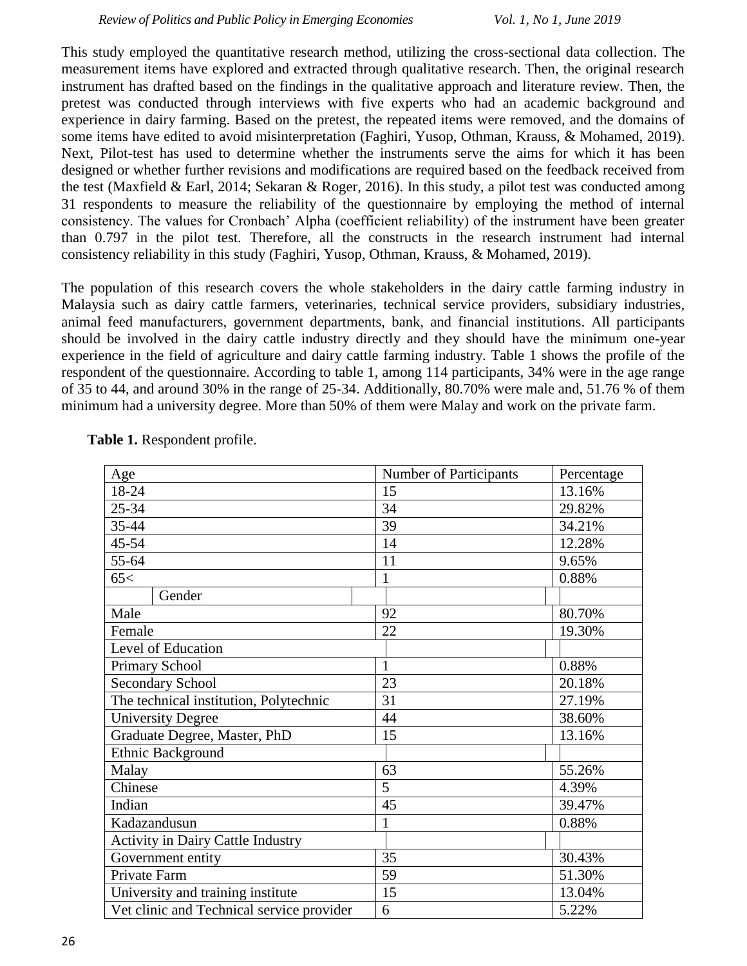This study employed the quantitative research method, utilizing the cross-sectional data collection. The measurement items have explored and extracted through qualitative research. Then, the original research instrument has drafted based on the findings in the qualitative approach and literature review. Then, the pretest was conducted through interviews with five experts who had an academic background and experience in dairy farming. Based on the pretest, the repeated items were removed, and the domains of some items have edited to avoid misinterpretation (Faghiri, Yusop, Othman, Krauss, & Mohamed, 2019). Next, Pilot-test has used to determine whether the instruments serve the aims for which it has been designed or whether further revisions and modifications are required based on the feedback received from the test (Maxfield & Earl, 2014; Sekaran & Roger, 2016). In this study, a pilot test was conducted among 31 respondents to measure the reliability of the questionnaire by employing the method of internal consistency. The values for Cronbach' Alpha (coefficient reliability) of the instrument have been greater than 0.797 in the pilot test. Therefore, all the constructs in the research instrument had internal consistency reliability in this study (Faghiri, Yusop, Othman, Krauss, & Mohamed, 2019).

The population of this research covers the whole stakeholders in the dairy cattle farming industry in Malaysia such as dairy cattle farmers, veterinaries, technical service providers, subsidiary industries, animal feed manufacturers, government departments, bank, and financial institutions. All participants should be involved in the dairy cattle industry directly and they should have the minimum one-year experience in the field of agriculture and dairy cattle farming industry. Table 1 shows the profile of the respondent of the questionnaire. According to table 1, among 114 participants, 34% were in the age range of 35 to 44, and around 30% in the range of 25-34. Additionally, 80.70% were male and, 51.76 % of them minimum had a university degree. More than 50% of them were Malay and work on the private farm.

| Age                                       | Number of Participants | Percentage |
|-------------------------------------------|------------------------|------------|
| 18-24                                     | 15                     | 13.16%     |
| $25 - 34$                                 | 34                     | 29.82%     |
| 35-44                                     | 39                     | 34.21%     |
| $45 - 54$                                 | 14                     | 12.28%     |
| 55-64                                     | 11                     | 9.65%      |
| 65<                                       | 1                      | 0.88%      |
| Gender                                    |                        |            |
| Male                                      | 92                     | 80.70%     |
| Female                                    | 22                     | 19.30%     |
| Level of Education                        |                        |            |
| <b>Primary School</b>                     | 1                      | 0.88%      |
| <b>Secondary School</b>                   | 23                     | 20.18%     |
| The technical institution, Polytechnic    | 31                     | 27.19%     |
| <b>University Degree</b>                  | 44                     | 38.60%     |
| Graduate Degree, Master, PhD              | 15                     | 13.16%     |
| Ethnic Background                         |                        |            |
| Malay                                     | 63                     | 55.26%     |
| Chinese                                   | 5                      | 4.39%      |
| Indian                                    | 45                     | 39.47%     |
| Kadazandusun                              |                        | 0.88%      |
| <b>Activity in Dairy Cattle Industry</b>  |                        |            |
| Government entity                         | 35                     | 30.43%     |
| Private Farm                              | 59                     | 51.30%     |
| University and training institute         | 15                     | 13.04%     |
| Vet clinic and Technical service provider | 6                      | 5.22%      |

**Table 1.** Respondent profile.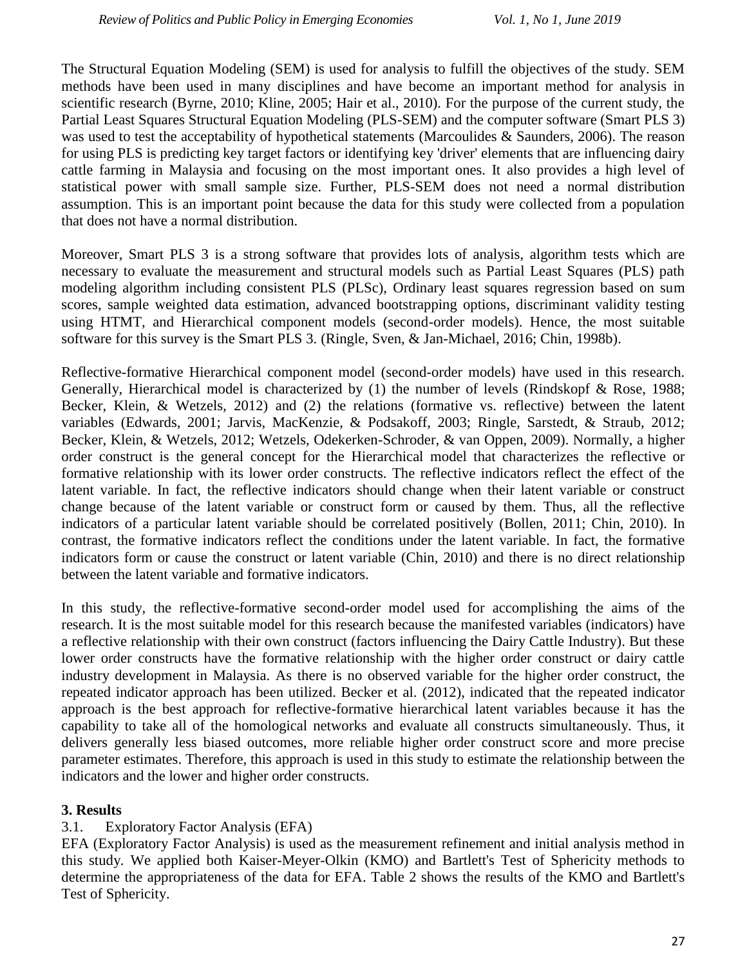The Structural Equation Modeling (SEM) is used for analysis to fulfill the objectives of the study. SEM methods have been used in many disciplines and have become an important method for analysis in scientific research (Byrne, 2010; Kline, 2005; Hair et al., 2010). For the purpose of the current study, the Partial Least Squares Structural Equation Modeling (PLS-SEM) and the computer software (Smart PLS 3) was used to test the acceptability of hypothetical statements (Marcoulides & Saunders, 2006). The reason for using PLS is predicting key target factors or identifying key 'driver' elements that are influencing dairy cattle farming in Malaysia and focusing on the most important ones. It also provides a high level of statistical power with small sample size. Further, PLS-SEM does not need a normal distribution assumption. This is an important point because the data for this study were collected from a population that does not have a normal distribution.

Moreover, Smart PLS 3 is a strong software that provides lots of analysis, algorithm tests which are necessary to evaluate the measurement and structural models such as Partial Least Squares (PLS) path modeling algorithm including consistent PLS (PLSc), Ordinary least squares regression based on sum scores, sample weighted data estimation, advanced bootstrapping options, discriminant validity testing using HTMT, and Hierarchical component models (second-order models). Hence, the most suitable software for this survey is the Smart PLS 3. (Ringle, Sven, & Jan-Michael, 2016; Chin, 1998b).

Reflective-formative Hierarchical component model (second-order models) have used in this research. Generally, Hierarchical model is characterized by (1) the number of levels (Rindskopf & Rose, 1988; Becker, Klein, & Wetzels, 2012) and (2) the relations (formative vs. reflective) between the latent variables (Edwards, 2001; Jarvis, MacKenzie, & Podsakoff, 2003; Ringle, Sarstedt, & Straub, 2012; Becker, Klein, & Wetzels, 2012; Wetzels, Odekerken-Schroder, & van Oppen, 2009). Normally, a higher order construct is the general concept for the Hierarchical model that characterizes the reflective or formative relationship with its lower order constructs. The reflective indicators reflect the effect of the latent variable. In fact, the reflective indicators should change when their latent variable or construct change because of the latent variable or construct form or caused by them. Thus, all the reflective indicators of a particular latent variable should be correlated positively (Bollen, 2011; Chin, 2010). In contrast, the formative indicators reflect the conditions under the latent variable. In fact, the formative indicators form or cause the construct or latent variable (Chin, 2010) and there is no direct relationship between the latent variable and formative indicators.

In this study, the reflective-formative second-order model used for accomplishing the aims of the research. It is the most suitable model for this research because the manifested variables (indicators) have a reflective relationship with their own construct (factors influencing the Dairy Cattle Industry). But these lower order constructs have the formative relationship with the higher order construct or dairy cattle industry development in Malaysia. As there is no observed variable for the higher order construct, the repeated indicator approach has been utilized. Becker et al. (2012), indicated that the repeated indicator approach is the best approach for reflective-formative hierarchical latent variables because it has the capability to take all of the homological networks and evaluate all constructs simultaneously. Thus, it delivers generally less biased outcomes, more reliable higher order construct score and more precise parameter estimates. Therefore, this approach is used in this study to estimate the relationship between the indicators and the lower and higher order constructs.

## **3. Results**

## 3.1. Exploratory Factor Analysis (EFA)

EFA (Exploratory Factor Analysis) is used as the measurement refinement and initial analysis method in this study. We applied both Kaiser-Meyer-Olkin (KMO) and Bartlett's Test of Sphericity methods to determine the appropriateness of the data for EFA. Table 2 shows the results of the KMO and Bartlett's Test of Sphericity.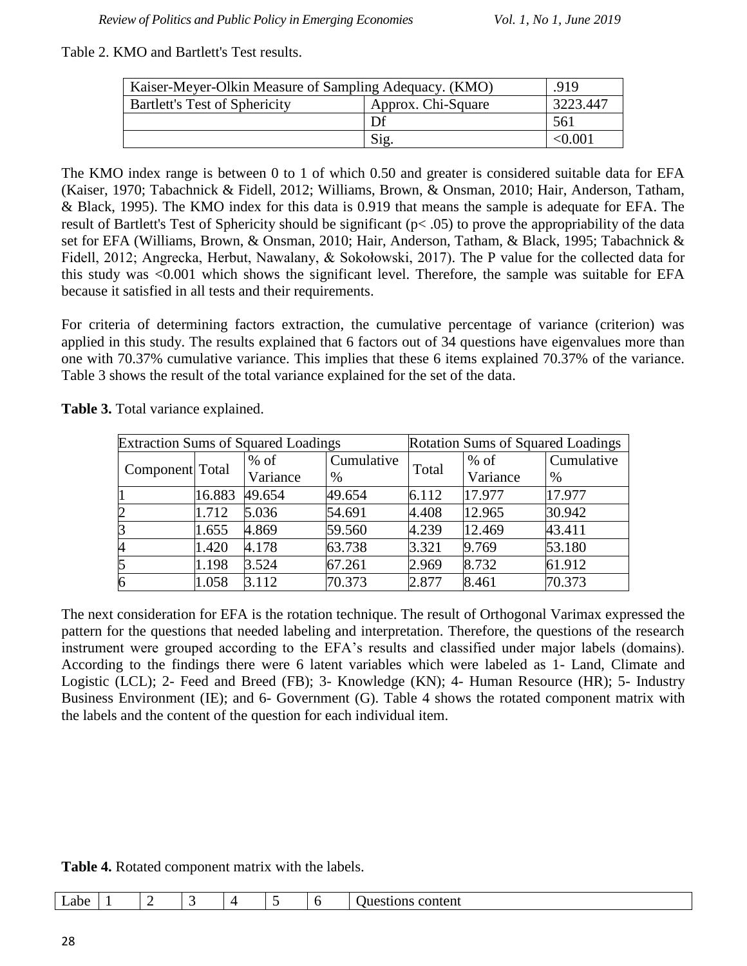#### Table 2. KMO and Bartlett's Test results.

| Kaiser-Meyer-Olkin Measure of Sampling Adequacy. (KMO) | $-919$             |          |
|--------------------------------------------------------|--------------------|----------|
| <b>Bartlett's Test of Sphericity</b>                   | Approx. Chi-Square | 3223.447 |
|                                                        | Df                 | 561      |
|                                                        | Sig.               | < 0.001  |

The KMO index range is between 0 to 1 of which 0.50 and greater is considered suitable data for EFA (Kaiser, 1970; Tabachnick & Fidell, 2012; Williams, Brown, & Onsman, 2010; Hair, Anderson, Tatham, & Black, 1995). The KMO index for this data is 0.919 that means the sample is adequate for EFA. The result of Bartlett's Test of Sphericity should be significant (p< .05) to prove the appropriability of the data set for EFA (Williams, Brown, & Onsman, 2010; Hair, Anderson, Tatham, & Black, 1995; Tabachnick & Fidell, 2012; Angrecka, Herbut, Nawalany, & Sokołowski, 2017). The P value for the collected data for this study was <0.001 which shows the significant level. Therefore, the sample was suitable for EFA because it satisfied in all tests and their requirements.

For criteria of determining factors extraction, the cumulative percentage of variance (criterion) was applied in this study. The results explained that 6 factors out of 34 questions have eigenvalues more than one with 70.37% cumulative variance. This implies that these 6 items explained 70.37% of the variance. Table 3 shows the result of the total variance explained for the set of the data.

|                        |        | <b>Extraction Sums of Squared Loadings</b> | <b>Rotation Sums of Squared Loadings</b> |       |          |            |
|------------------------|--------|--------------------------------------------|------------------------------------------|-------|----------|------------|
| <b>Component</b> Total |        | $%$ of                                     | Cumulative                               | Total | $%$ of   | Cumulative |
|                        |        | Variance                                   | $\%$                                     |       | Variance | %          |
|                        | 16.883 | 49.654                                     | 49.654                                   | 6.112 | 17.977   | 17.977     |
| $\overline{c}$         | 1.712  | 5.036                                      | 54.691                                   | 4.408 | 12.965   | 30.942     |
| $\overline{3}$         | 1.655  | 4.869                                      | 59.560                                   | 4.239 | 12.469   | 43.411     |
| $\overline{A}$         | 1.420  | 4.178                                      | 63.738                                   | 3.321 | 9.769    | 53.180     |
| 5                      | 1.198  | 3.524                                      | 67.261                                   | 2.969 | 8.732    | 61.912     |
| 6                      | 1.058  | 3.112                                      | 70.373                                   | 2.877 | 8.461    | 70.373     |

**Table 3.** Total variance explained.

The next consideration for EFA is the rotation technique. The result of Orthogonal Varimax expressed the pattern for the questions that needed labeling and interpretation. Therefore, the questions of the research instrument were grouped according to the EFA's results and classified under major labels (domains). According to the findings there were 6 latent variables which were labeled as 1- Land, Climate and Logistic (LCL); 2- Feed and Breed (FB); 3- Knowledge (KN); 4- Human Resource (HR); 5- Industry Business Environment (IE); and 6- Government (G). Table 4 shows the rotated component matrix with the labels and the content of the question for each individual item.

| Table 4. Rotated component matrix with the labels. |  |  |  |
|----------------------------------------------------|--|--|--|
|----------------------------------------------------|--|--|--|

| suons<br>$\sim$<br>. .<br>—<br>- | Labe -<br>content<br><b>.</b> |
|----------------------------------|-------------------------------|
|----------------------------------|-------------------------------|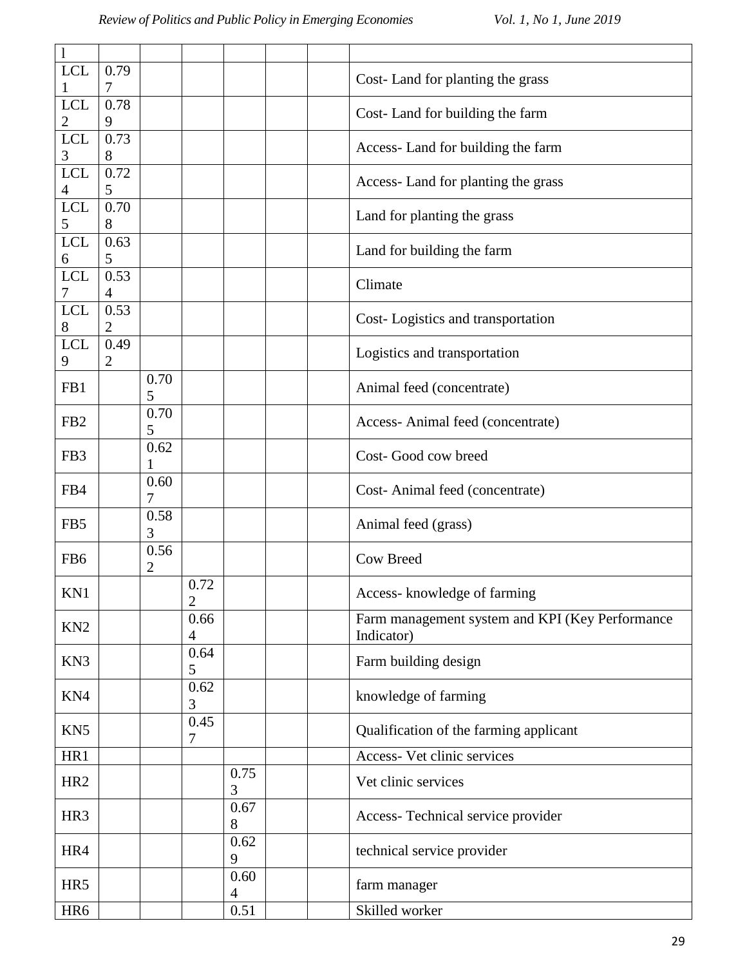| $\mathbf{l}$    |                        |                        |                        |                        |                                                               |
|-----------------|------------------------|------------------------|------------------------|------------------------|---------------------------------------------------------------|
| <b>LCL</b>      | 0.79<br>7              |                        |                        |                        | Cost-Land for planting the grass                              |
| <b>LCL</b><br>2 | 0.78<br>9              |                        |                        |                        | Cost-Land for building the farm                               |
| <b>LCL</b><br>3 | 0.73<br>8              |                        |                        |                        | Access-Land for building the farm                             |
| <b>LCL</b><br>4 | 0.72<br>5              |                        |                        |                        | Access-Land for planting the grass                            |
| <b>LCL</b><br>5 | 0.70<br>8              |                        |                        |                        | Land for planting the grass                                   |
| <b>LCL</b><br>6 | 0.63<br>5              |                        |                        |                        | Land for building the farm                                    |
| <b>LCL</b><br>7 | 0.53<br>$\overline{4}$ |                        |                        |                        | Climate                                                       |
| <b>LCL</b><br>8 | 0.53<br>$\overline{2}$ |                        |                        |                        | Cost-Logistics and transportation                             |
| <b>LCL</b><br>9 | 0.49<br>$\overline{2}$ |                        |                        |                        | Logistics and transportation                                  |
| FB1             |                        | 0.70<br>5              |                        |                        | Animal feed (concentrate)                                     |
| FB <sub>2</sub> |                        | 0.70<br>5              |                        |                        | Access-Animal feed (concentrate)                              |
| FB <sub>3</sub> |                        | 0.62                   |                        |                        | Cost-Good cow breed                                           |
| FB4             |                        | 0.60<br>7              |                        |                        | Cost-Animal feed (concentrate)                                |
| FB5             |                        | 0.58<br>3              |                        |                        | Animal feed (grass)                                           |
| FB <sub>6</sub> |                        | 0.56<br>$\overline{c}$ |                        |                        | Cow Breed                                                     |
| KN1             |                        |                        | 0.72<br>$\overline{2}$ |                        | Access-knowledge of farming                                   |
| KN <sub>2</sub> |                        |                        | 0.66<br>$\overline{4}$ |                        | Farm management system and KPI (Key Performance<br>Indicator) |
| KN <sub>3</sub> |                        |                        | 0.64<br>5              |                        | Farm building design                                          |
| KN4             |                        |                        | 0.62<br>3              |                        | knowledge of farming                                          |
| KN <sub>5</sub> |                        |                        | 0.45<br>7              |                        | Qualification of the farming applicant                        |
| HR1             |                        |                        |                        |                        | Access- Vet clinic services                                   |
| HR <sub>2</sub> |                        |                        |                        | 0.75<br>3              | Vet clinic services                                           |
| HR <sub>3</sub> |                        |                        |                        | 0.67<br>8              | Access-Technical service provider                             |
| HR4             |                        |                        |                        | 0.62<br>9              | technical service provider                                    |
| HR5             |                        |                        |                        | 0.60<br>$\overline{4}$ | farm manager                                                  |
| HR6             |                        |                        |                        | 0.51                   | Skilled worker                                                |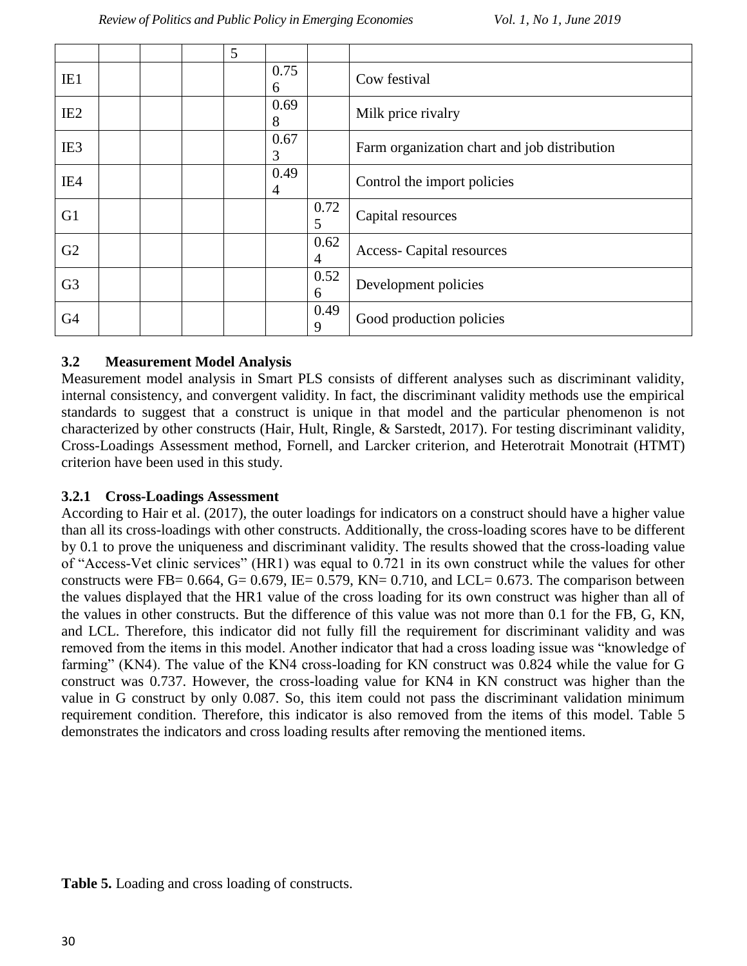|                 |  | 5 |           |                        |                                              |
|-----------------|--|---|-----------|------------------------|----------------------------------------------|
| IE1             |  |   | 0.75<br>6 |                        | Cow festival                                 |
| IE <sub>2</sub> |  |   | 0.69<br>8 |                        | Milk price rivalry                           |
| IE <sub>3</sub> |  |   | 0.67<br>3 |                        | Farm organization chart and job distribution |
| IE4             |  |   | 0.49<br>4 |                        | Control the import policies                  |
| G <sub>1</sub>  |  |   |           | 0.72<br>5              | Capital resources                            |
| G2              |  |   |           | 0.62<br>$\overline{4}$ | <b>Access-Capital resources</b>              |
| G <sub>3</sub>  |  |   |           | 0.52<br>6              | Development policies                         |
| G <sub>4</sub>  |  |   |           | 0.49<br>9              | Good production policies                     |

## **3.2 Measurement Model Analysis**

Measurement model analysis in Smart PLS consists of different analyses such as discriminant validity, internal consistency, and convergent validity. In fact, the discriminant validity methods use the empirical standards to suggest that a construct is unique in that model and the particular phenomenon is not characterized by other constructs (Hair, Hult, Ringle, & Sarstedt, 2017). For testing discriminant validity, Cross-Loadings Assessment method, Fornell, and Larcker criterion, and Heterotrait Monotrait (HTMT) criterion have been used in this study.

## **3.2.1 Cross-Loadings Assessment**

According to Hair et al. (2017), the outer loadings for indicators on a construct should have a higher value than all its cross-loadings with other constructs. Additionally, the cross-loading scores have to be different by 0.1 to prove the uniqueness and discriminant validity. The results showed that the cross-loading value of "Access-Vet clinic services" (HR1) was equal to 0.721 in its own construct while the values for other constructs were FB=  $0.664$ , G=  $0.679$ , IE=  $0.579$ , KN=  $0.710$ , and LCL=  $0.673$ . The comparison between the values displayed that the HR1 value of the cross loading for its own construct was higher than all of the values in other constructs. But the difference of this value was not more than 0.1 for the FB, G, KN, and LCL. Therefore, this indicator did not fully fill the requirement for discriminant validity and was removed from the items in this model. Another indicator that had a cross loading issue was "knowledge of farming" (KN4). The value of the KN4 cross-loading for KN construct was 0.824 while the value for G construct was 0.737. However, the cross-loading value for KN4 in KN construct was higher than the value in G construct by only 0.087. So, this item could not pass the discriminant validation minimum requirement condition. Therefore, this indicator is also removed from the items of this model. Table 5 demonstrates the indicators and cross loading results after removing the mentioned items.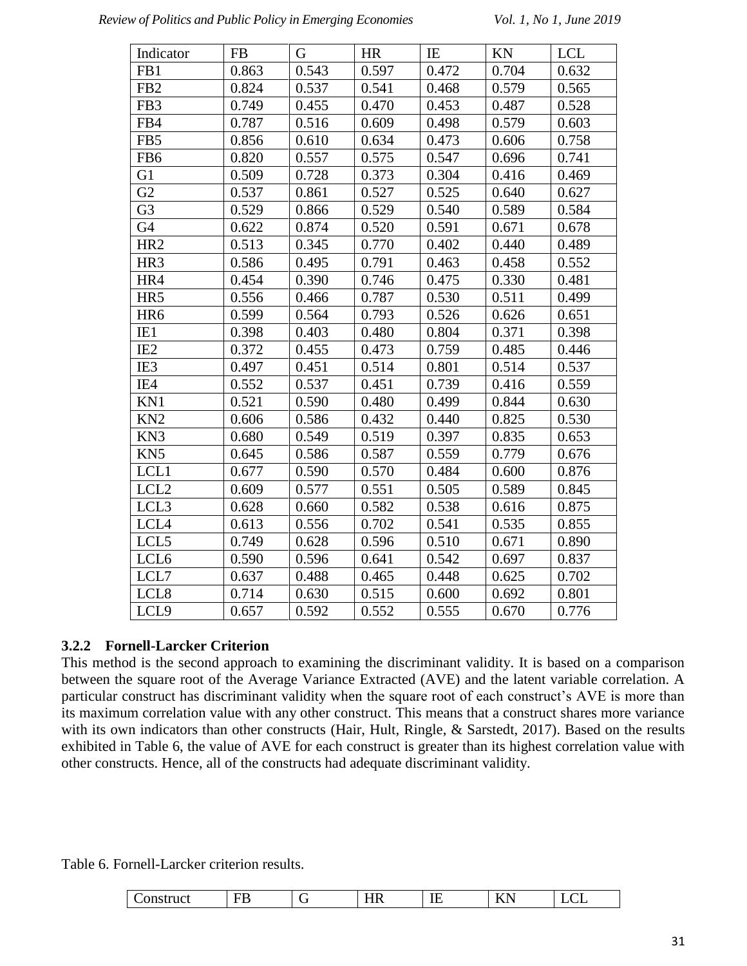| Indicator        | <b>FB</b> | G     | <b>HR</b> | IE    | KN    | <b>LCL</b> |
|------------------|-----------|-------|-----------|-------|-------|------------|
| FB1              | 0.863     | 0.543 | 0.597     | 0.472 | 0.704 | 0.632      |
| FB <sub>2</sub>  | 0.824     | 0.537 | 0.541     | 0.468 | 0.579 | 0.565      |
| FB <sub>3</sub>  | 0.749     | 0.455 | 0.470     | 0.453 | 0.487 | 0.528      |
| FB4              | 0.787     | 0.516 | 0.609     | 0.498 | 0.579 | 0.603      |
| FB5              | 0.856     | 0.610 | 0.634     | 0.473 | 0.606 | 0.758      |
| FB <sub>6</sub>  | 0.820     | 0.557 | 0.575     | 0.547 | 0.696 | 0.741      |
| G1               | 0.509     | 0.728 | 0.373     | 0.304 | 0.416 | 0.469      |
| G <sub>2</sub>   | 0.537     | 0.861 | 0.527     | 0.525 | 0.640 | 0.627      |
| G <sub>3</sub>   | 0.529     | 0.866 | 0.529     | 0.540 | 0.589 | 0.584      |
| G4               | 0.622     | 0.874 | 0.520     | 0.591 | 0.671 | 0.678      |
| HR <sub>2</sub>  | 0.513     | 0.345 | 0.770     | 0.402 | 0.440 | 0.489      |
| HR <sub>3</sub>  | 0.586     | 0.495 | 0.791     | 0.463 | 0.458 | 0.552      |
| HR4              | 0.454     | 0.390 | 0.746     | 0.475 | 0.330 | 0.481      |
| HR5              | 0.556     | 0.466 | 0.787     | 0.530 | 0.511 | 0.499      |
| HR <sub>6</sub>  | 0.599     | 0.564 | 0.793     | 0.526 | 0.626 | 0.651      |
| IE1              | 0.398     | 0.403 | 0.480     | 0.804 | 0.371 | 0.398      |
| IE <sub>2</sub>  | 0.372     | 0.455 | 0.473     | 0.759 | 0.485 | 0.446      |
| IE3              | 0.497     | 0.451 | 0.514     | 0.801 | 0.514 | 0.537      |
| IE4              | 0.552     | 0.537 | 0.451     | 0.739 | 0.416 | 0.559      |
| KN1              | 0.521     | 0.590 | 0.480     | 0.499 | 0.844 | 0.630      |
| KN <sub>2</sub>  | 0.606     | 0.586 | 0.432     | 0.440 | 0.825 | 0.530      |
| KN3              | 0.680     | 0.549 | 0.519     | 0.397 | 0.835 | 0.653      |
| KN <sub>5</sub>  | 0.645     | 0.586 | 0.587     | 0.559 | 0.779 | 0.676      |
| LCL1             | 0.677     | 0.590 | 0.570     | 0.484 | 0.600 | 0.876      |
| LCL <sub>2</sub> | 0.609     | 0.577 | 0.551     | 0.505 | 0.589 | 0.845      |
| LCL3             | 0.628     | 0.660 | 0.582     | 0.538 | 0.616 | 0.875      |
| LCL4             | 0.613     | 0.556 | 0.702     | 0.541 | 0.535 | 0.855      |
| LCL5             | 0.749     | 0.628 | 0.596     | 0.510 | 0.671 | 0.890      |
| LCL <sub>6</sub> | 0.590     | 0.596 | 0.641     | 0.542 | 0.697 | 0.837      |
| LCL7             | 0.637     | 0.488 | 0.465     | 0.448 | 0.625 | 0.702      |
| LCL <sub>8</sub> | 0.714     | 0.630 | 0.515     | 0.600 | 0.692 | 0.801      |
| LCL9             | 0.657     | 0.592 | 0.552     | 0.555 | 0.670 | 0.776      |

## **3.2.2 Fornell-Larcker Criterion**

This method is the second approach to examining the discriminant validity. It is based on a comparison between the square root of the Average Variance Extracted (AVE) and the latent variable correlation. A particular construct has discriminant validity when the square root of each construct's AVE is more than its maximum correlation value with any other construct. This means that a construct shares more variance with its own indicators than other constructs (Hair, Hult, Ringle, & Sarstedt, 2017). Based on the results exhibited in Table 6, the value of AVE for each construct is greater than its highest correlation value with other constructs. Hence, all of the constructs had adequate discriminant validity.

Table 6. Fornell-Larcker criterion results.

| ––<br>.<br>. .<br>ш<br><b></b><br>.<br>∼ | - | ---<br> | $-$<br>-- | <br>$\overline{111}$ | $-$<br>$\sim$ |
|------------------------------------------|---|---------|-----------|----------------------|---------------|
|------------------------------------------|---|---------|-----------|----------------------|---------------|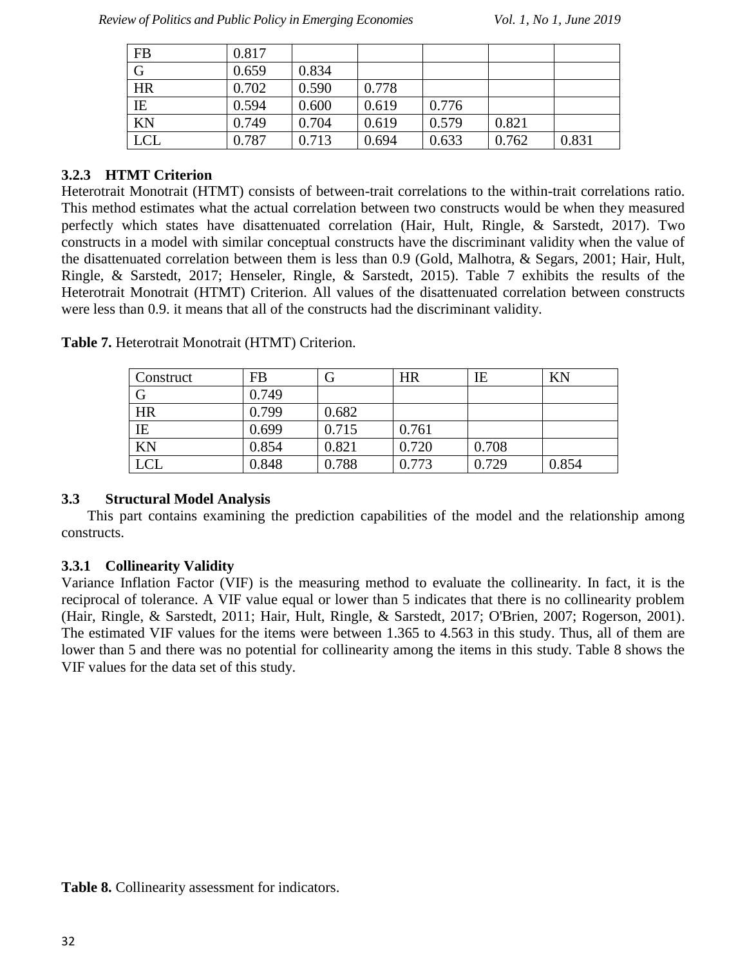| FB         | 0.817 |       |       |       |       |       |
|------------|-------|-------|-------|-------|-------|-------|
| G          | 0.659 | 0.834 |       |       |       |       |
| <b>HR</b>  | 0.702 | 0.590 | 0.778 |       |       |       |
| IE         | 0.594 | 0.600 | 0.619 | 0.776 |       |       |
| KN         | 0.749 | 0.704 | 0.619 | 0.579 | 0.821 |       |
| <b>LCL</b> | 0.787 | 0.713 | 0.694 | 0.633 | 0.762 | 0.831 |

## **3.2.3 HTMT Criterion**

Heterotrait Monotrait (HTMT) consists of between-trait correlations to the within-trait correlations ratio. This method estimates what the actual correlation between two constructs would be when they measured perfectly which states have disattenuated correlation (Hair, Hult, Ringle, & Sarstedt, 2017). Two constructs in a model with similar conceptual constructs have the discriminant validity when the value of the disattenuated correlation between them is less than 0.9 (Gold, Malhotra, & Segars, 2001; Hair, Hult, Ringle, & Sarstedt, 2017; Henseler, Ringle, & Sarstedt, 2015). Table 7 exhibits the results of the Heterotrait Monotrait (HTMT) Criterion. All values of the disattenuated correlation between constructs were less than 0.9. it means that all of the constructs had the discriminant validity.

| Construct  | <b>FB</b> |       | <b>HR</b> | IE    | KN    |
|------------|-----------|-------|-----------|-------|-------|
| G          | 0.749     |       |           |       |       |
| <b>HR</b>  | 0.799     | 0.682 |           |       |       |
| IE         | 0.699     | 0.715 | 0.761     |       |       |
| KN         | 0.854     | 0.821 | 0.720     | 0.708 |       |
| <b>LCL</b> | 0.848     | 0.788 | 0.773     | 0.729 | 0.854 |

**Table 7.** Heterotrait Monotrait (HTMT) Criterion.

#### **3.3 Structural Model Analysis**

This part contains examining the prediction capabilities of the model and the relationship among constructs.

## **3.3.1 Collinearity Validity**

Variance Inflation Factor (VIF) is the measuring method to evaluate the collinearity. In fact, it is the reciprocal of tolerance. A VIF value equal or lower than 5 indicates that there is no collinearity problem (Hair, Ringle, & Sarstedt, 2011; Hair, Hult, Ringle, & Sarstedt, 2017; O'Brien, 2007; Rogerson, 2001). The estimated VIF values for the items were between 1.365 to 4.563 in this study. Thus, all of them are lower than 5 and there was no potential for collinearity among the items in this study. Table 8 shows the VIF values for the data set of this study.

**Table 8.** Collinearity assessment for indicators.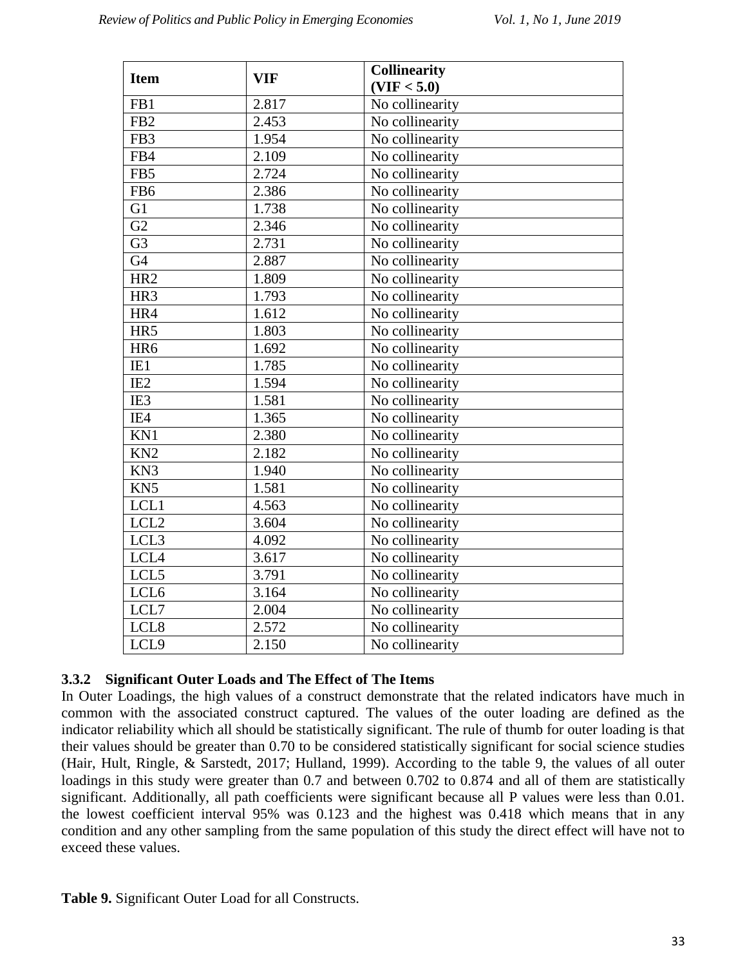| <b>Item</b>      | <b>VIF</b> | <b>Collinearity</b> |
|------------------|------------|---------------------|
|                  |            | (VIF < 5.0)         |
| FB1              | 2.817      | No collinearity     |
| FB <sub>2</sub>  | 2.453      | No collinearity     |
| FB3              | 1.954      | No collinearity     |
| FB4              | 2.109      | No collinearity     |
| FB5              | 2.724      | No collinearity     |
| FB <sub>6</sub>  | 2.386      | No collinearity     |
| G1               | 1.738      | No collinearity     |
| $\overline{G2}$  | 2.346      | No collinearity     |
| G <sub>3</sub>   | 2.731      | No collinearity     |
| G <sub>4</sub>   | 2.887      | No collinearity     |
| HR <sub>2</sub>  | 1.809      | No collinearity     |
| HR3              | 1.793      | No collinearity     |
| HR4              | 1.612      | No collinearity     |
| HR5              | 1.803      | No collinearity     |
| HR6              | 1.692      | No collinearity     |
| IE1              | 1.785      | No collinearity     |
| IE <sub>2</sub>  | 1.594      | No collinearity     |
| IE3              | 1.581      | No collinearity     |
| IE4              | 1.365      | No collinearity     |
| KN1              | 2.380      | No collinearity     |
| KN <sub>2</sub>  | 2.182      | No collinearity     |
| KN3              | 1.940      | No collinearity     |
| KN <sub>5</sub>  | 1.581      | No collinearity     |
| LCL1             | 4.563      | No collinearity     |
| LCL <sub>2</sub> | 3.604      | No collinearity     |
| LCL <sub>3</sub> | 4.092      | No collinearity     |
| LCL4             | 3.617      | No collinearity     |
| LCL5             | 3.791      | No collinearity     |
| LCL <sub>6</sub> | 3.164      | No collinearity     |
| LCL7             | 2.004      | No collinearity     |
| LCL8             | 2.572      | No collinearity     |
| LCL9             | 2.150      | No collinearity     |

## **3.3.2 Significant Outer Loads and The Effect of The Items**

In Outer Loadings, the high values of a construct demonstrate that the related indicators have much in common with the associated construct captured. The values of the outer loading are defined as the indicator reliability which all should be statistically significant. The rule of thumb for outer loading is that their values should be greater than 0.70 to be considered statistically significant for social science studies (Hair, Hult, Ringle, & Sarstedt, 2017; Hulland, 1999). According to the table 9, the values of all outer loadings in this study were greater than 0.7 and between 0.702 to 0.874 and all of them are statistically significant. Additionally, all path coefficients were significant because all P values were less than 0.01. the lowest coefficient interval 95% was 0.123 and the highest was 0.418 which means that in any condition and any other sampling from the same population of this study the direct effect will have not to exceed these values.

**Table 9.** Significant Outer Load for all Constructs.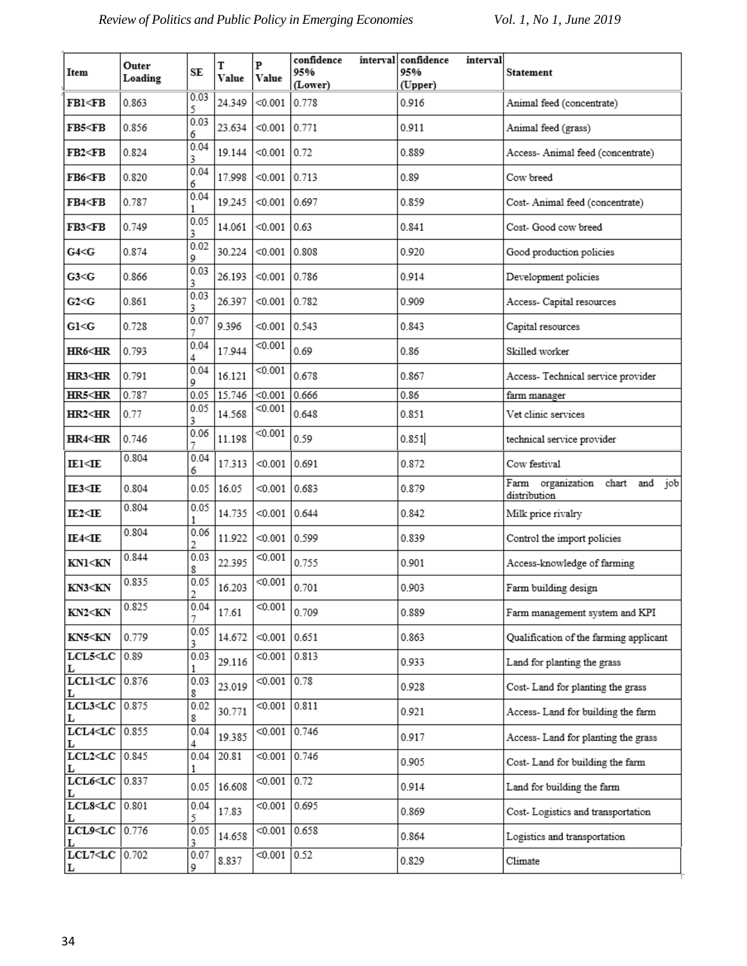| Item                                                                                                                                                                                       | Outer<br>Loading | SE        | T<br>Value | P<br>Value      | confidence<br>95%<br>(Lower) | interval | confidence<br>interval<br>95%<br>(Upper) | Statement                                             |
|--------------------------------------------------------------------------------------------------------------------------------------------------------------------------------------------|------------------|-----------|------------|-----------------|------------------------------|----------|------------------------------------------|-------------------------------------------------------|
| FB1 <fb< th=""><th>0.863</th><th>0.03<br/>5</th><th>24.349</th><th>&lt; 0.001</th><th>0.778</th><th></th><th>0.916</th><th>Animal feed (concentrate)</th></fb<>                            | 0.863            | 0.03<br>5 | 24.349     | < 0.001         | 0.778                        |          | 0.916                                    | Animal feed (concentrate)                             |
| FB5 <fb< th=""><th>0.856</th><th>0.03<br/>6</th><th>23.634</th><th>&lt; 0.001</th><th>0.771</th><th></th><th>0.911</th><th>Animal feed (grass)</th></fb<>                                  | 0.856            | 0.03<br>6 | 23.634     | < 0.001         | 0.771                        |          | 0.911                                    | Animal feed (grass)                                   |
| FB2 <fb< th=""><th>0.824</th><th>0.04<br/>3</th><th>19.144</th><th>&lt; 0.001</th><th>0.72</th><th></th><th>0.889</th><th>Access- Animal feed (concentrate)</th></fb<>                     | 0.824            | 0.04<br>3 | 19.144     | < 0.001         | 0.72                         |          | 0.889                                    | Access- Animal feed (concentrate)                     |
| FB6 <fb< th=""><th>0.820</th><th>0.04<br/>6</th><th>17.998</th><th>&lt; 0.001</th><th>0.713</th><th></th><th>0.89</th><th>Cow breed</th></fb<>                                             | 0.820            | 0.04<br>6 | 17.998     | < 0.001         | 0.713                        |          | 0.89                                     | Cow breed                                             |
| FB4 <fb< th=""><th>0.787</th><th>0.04</th><th>19.245</th><th>&lt; 0.001</th><th>0.697</th><th></th><th>0.859</th><th>Cost-Animal feed (concentrate)</th></fb<>                             | 0.787            | 0.04      | 19.245     | < 0.001         | 0.697                        |          | 0.859                                    | Cost-Animal feed (concentrate)                        |
| FB3 <fb< th=""><th>0.749</th><th>0.05<br/>3</th><th>14.061</th><th>&lt; 0.001</th><th> 0.63</th><th></th><th>0.841</th><th>Cost- Good cow breed</th></fb<>                                 | 0.749            | 0.05<br>3 | 14.061     | < 0.001         | 0.63                         |          | 0.841                                    | Cost- Good cow breed                                  |
| G4 < G                                                                                                                                                                                     | 0.874            | 0.02<br>9 | 30.224     | < 0.001         | 0.808                        |          | 0.920                                    | Good production policies                              |
| G3< G                                                                                                                                                                                      | 0.866            | 0.03<br>3 | 26.193     | < 0.001         | 0.786                        |          | 0.914                                    | Development policies                                  |
| G2 < G                                                                                                                                                                                     | 0.861            | 0.03<br>3 | 26.397     | < 0.001         | 0.782                        |          | 0.909                                    | Access- Capital resources                             |
| G1 < G                                                                                                                                                                                     | 0.728            | 0.07<br>7 | 9.396      | < 0.001         | 0.543                        |          | 0.843                                    | Capital resources                                     |
| HR6 <hr< th=""><td>0.793</td><td>0.04<br/>4</td><td>17.944</td><td>&lt; 0.001</td><td>0.69</td><td></td><td>0.86</td><td>Skilled worker</td></hr<>                                         | 0.793            | 0.04<br>4 | 17.944     | < 0.001         | 0.69                         |          | 0.86                                     | Skilled worker                                        |
| HR3 <hr< th=""><th>0.791</th><th>0.04<br/>9</th><th>16.121</th><th>&lt; 0.001</th><th>0.678</th><th></th><th>0.867</th><th>Access- Technical service provider</th></hr<>                   | 0.791            | 0.04<br>9 | 16.121     | < 0.001         | 0.678                        |          | 0.867                                    | Access- Technical service provider                    |
| HR5 <hr< th=""><th>0.787</th><th>0.05</th><th>15.746</th><th>&lt; 0.001</th><th>0.666</th><th></th><th>0.86</th><th>farm manager</th></hr<>                                                | 0.787            | 0.05      | 15.746     | < 0.001         | 0.666                        |          | 0.86                                     | farm manager                                          |
| HR2 <hr< th=""><td>0.77</td><td>0.05<br/>3</td><td>14.568</td><td>&lt; 0.001</td><td>0.648</td><td></td><td>0.851</td><td>Vet clinic services</td></hr<>                                   | 0.77             | 0.05<br>3 | 14.568     | < 0.001         | 0.648                        |          | 0.851                                    | Vet clinic services                                   |
| <b>HR4<hr< b=""></hr<></b>                                                                                                                                                                 | 0.746            | 0.06<br>7 | 11.198     | < 0.001         | 0.59                         |          | 0.851                                    | technical service provider                            |
| IE1 <ie< th=""><td>0.804</td><td>0.04<br/>6</td><td>17.313</td><td>&lt; 0.001</td><td>0.691</td><td></td><td>0.872</td><td>Cow festival</td></ie<>                                         | 0.804            | 0.04<br>6 | 17.313     | < 0.001         | 0.691                        |          | 0.872                                    | Cow festival                                          |
| IE3 <ie< th=""><td>0.804</td><td>0.05</td><td>16.05</td><td>&lt; 0.001</td><td>0.683</td><td></td><td>0.879</td><td>Farm organization chart<br/>and<br/>job<br/>distribution</td></ie<>    | 0.804            | 0.05      | 16.05      | < 0.001         | 0.683                        |          | 0.879                                    | Farm organization chart<br>and<br>job<br>distribution |
| IE2 <ie< th=""><td>0.804</td><td>0.05<br/>1</td><td>14.735</td><td><math>&lt; 0.001</math> 0.644</td><td></td><td></td><td>0.842</td><td>Milk price rivalry</td></ie<>                     | 0.804            | 0.05<br>1 | 14.735     | $< 0.001$ 0.644 |                              |          | 0.842                                    | Milk price rivalry                                    |
| IE4 <ie< th=""><td>0.804</td><td>0.06<br/>2</td><td>11.922</td><td>&lt; 0.001</td><td>0.599</td><td></td><td>0.839</td><td>Control the import policies</td></ie<>                          | 0.804            | 0.06<br>2 | 11.922     | < 0.001         | 0.599                        |          | 0.839                                    | Control the import policies                           |
| KN1 <kn< th=""><td>0.844</td><td>0.03<br/>8</td><td>22.395</td><td>&lt; 0.001</td><td>0.755</td><td></td><td>0.901</td><td>Access-knowledge of farming</td></kn<>                          | 0.844            | 0.03<br>8 | 22.395     | < 0.001         | 0.755                        |          | 0.901                                    | Access-knowledge of farming                           |
| KN3 <kn< th=""><td>0.835</td><td>0.05<br/>2</td><td>16.203</td><td>&lt; 0.001</td><td>0.701</td><td></td><td>0.903</td><td>Farm building design</td></kn<>                                 | 0.835            | 0.05<br>2 | 16.203     | < 0.001         | 0.701                        |          | 0.903                                    | Farm building design                                  |
| KN2 <kn< th=""><td>0.825</td><td>0.04</td><td>17.61</td><td>&lt; 0.001</td><td>0.709</td><td></td><td>0.889</td><td>Farm management system and KPI</td></kn<>                              | 0.825            | 0.04      | 17.61      | < 0.001         | 0.709                        |          | 0.889                                    | Farm management system and KPI                        |
| KN5 <kn< th=""><td>0.779</td><td>0.05<br/>3</td><td>14.672</td><td><math>&lt; 0.001</math> 0.651</td><td></td><td></td><td>0.863</td><td>Qualification of the farming applicant</td></kn<> | 0.779            | 0.05<br>3 | 14.672     | $< 0.001$ 0.651 |                              |          | 0.863                                    | Qualification of the farming applicant                |
| $LCL5 <$ I.C 0.89<br>L                                                                                                                                                                     |                  | 0.03<br>1 | 29.116     | < 0.001         | 0.813                        |          | 0.933                                    | Land for planting the grass                           |
| $LCLI < LC$ 0.876                                                                                                                                                                          |                  | 0.03<br>8 | 23.019     | $< 0.001$ 0.78  |                              |          | 0.928                                    | Cost-Land for planting the grass                      |
| $LCL3 < LC$ 0.875<br>L                                                                                                                                                                     |                  | 0.02<br>8 | 30.771     | < 0.001         | 0.811                        |          | 0.921                                    | Access- Land for building the farm                    |
| $LCL4 < LCl$ 0.855                                                                                                                                                                         |                  | 0.04<br>4 | 19.385     | $< 0.001$ 0.746 |                              |          | 0.917                                    | Access- Land for planting the grass                   |
| $LCL2 < LC$ 0.845                                                                                                                                                                          |                  | 0.04<br>1 | 20.81      | < 0.001         | 0.746                        |          | 0.905                                    | Cost- Land for building the farm                      |
| $LCL6 < LC$ 0.837<br>L                                                                                                                                                                     |                  | 0.05      | 16.608     | < 0.001         | 0.72                         |          | 0.914                                    | Land for building the farm                            |
| $LCL8 < LCl$ 0.801                                                                                                                                                                         |                  | 0.04<br>5 | 17.83      | < 0.001         | 0.695                        |          | 0.869                                    | Cost-Logistics and transportation                     |
| $LCL9 < LC$ 0.776                                                                                                                                                                          |                  | 0.05<br>3 | 14.658     | < 0.001         | 0.658                        |          | 0.864                                    | Logistics and transportation                          |
| LCL7 <lc 0.702<br="">L</lc>                                                                                                                                                                |                  | 0.07<br>9 | 8.837      | $< 0.001$ 0.52  |                              |          | 0.829                                    | Climate                                               |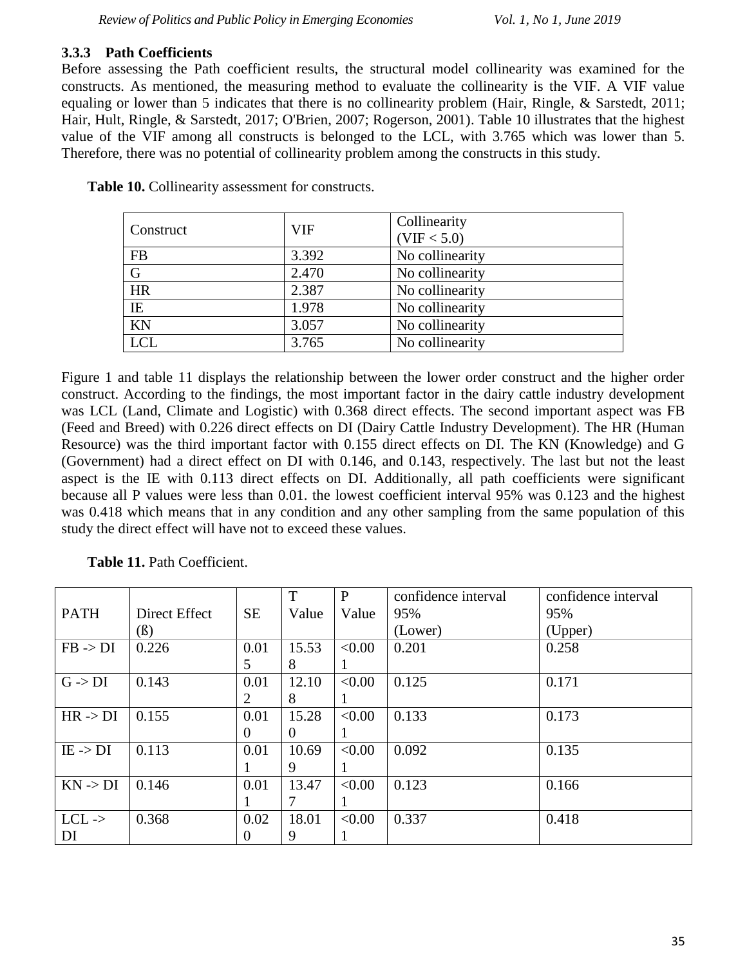### **3.3.3 Path Coefficients**

Before assessing the Path coefficient results, the structural model collinearity was examined for the constructs. As mentioned, the measuring method to evaluate the collinearity is the VIF. A VIF value equaling or lower than 5 indicates that there is no collinearity problem (Hair, Ringle, & Sarstedt, 2011; Hair, Hult, Ringle, & Sarstedt, 2017; O'Brien, 2007; Rogerson, 2001). Table 10 illustrates that the highest value of the VIF among all constructs is belonged to the LCL, with 3.765 which was lower than 5. Therefore, there was no potential of collinearity problem among the constructs in this study.

| Construct   | <b>VIF</b> | Collinearity<br>(VIF < 5.0) |
|-------------|------------|-----------------------------|
| <b>FB</b>   | 3.392      | No collinearity             |
| $\mathbf G$ | 2.470      | No collinearity             |
| <b>HR</b>   | 2.387      | No collinearity             |
| IE          | 1.978      | No collinearity             |
| KN          | 3.057      | No collinearity             |
| <b>LCL</b>  | 3.765      | No collinearity             |

**Table 10.** Collinearity assessment for constructs.

Figure 1 and table 11 displays the relationship between the lower order construct and the higher order construct. According to the findings, the most important factor in the dairy cattle industry development was LCL (Land, Climate and Logistic) with 0.368 direct effects. The second important aspect was FB (Feed and Breed) with 0.226 direct effects on DI (Dairy Cattle Industry Development). The HR (Human Resource) was the third important factor with 0.155 direct effects on DI. The KN (Knowledge) and G (Government) had a direct effect on DI with 0.146, and 0.143, respectively. The last but not the least aspect is the IE with 0.113 direct effects on DI. Additionally, all path coefficients were significant because all P values were less than 0.01. the lowest coefficient interval 95% was 0.123 and the highest was 0.418 which means that in any condition and any other sampling from the same population of this study the direct effect will have not to exceed these values.

|                     |               |           | T        | $\mathbf{P}$ | confidence interval | confidence interval |
|---------------------|---------------|-----------|----------|--------------|---------------------|---------------------|
| <b>PATH</b>         | Direct Effect | <b>SE</b> | Value    | Value        | 95%                 | 95%                 |
|                     | $(\beta)$     |           |          |              | (Lower)             | (Upper)             |
| $FB \rightarrow DI$ | 0.226         | 0.01      | 15.53    | < 0.00       | 0.201               | 0.258               |
|                     |               | 5         | 8        |              |                     |                     |
| $G \rightarrow DI$  | 0.143         | 0.01      | 12.10    | < 0.00       | 0.125               | 0.171               |
|                     |               |           | 8        |              |                     |                     |
| $HR \rightarrow DI$ | 0.155         | 0.01      | 15.28    | < 0.00       | 0.133               | 0.173               |
|                     |               | 0         | $\theta$ |              |                     |                     |
| $IE \rightarrow DI$ | 0.113         | 0.01      | 10.69    | < 0.00       | 0.092               | 0.135               |
|                     |               |           | 9        |              |                     |                     |
| $KN \rightarrow DI$ | 0.146         | 0.01      | 13.47    | < 0.00       | 0.123               | 0.166               |
|                     |               |           |          |              |                     |                     |
| $LCL$ ->            | 0.368         | 0.02      | 18.01    | < 0.00       | 0.337               | 0.418               |
| DI                  |               | $\theta$  | 9        |              |                     |                     |

**Table 11.** Path Coefficient.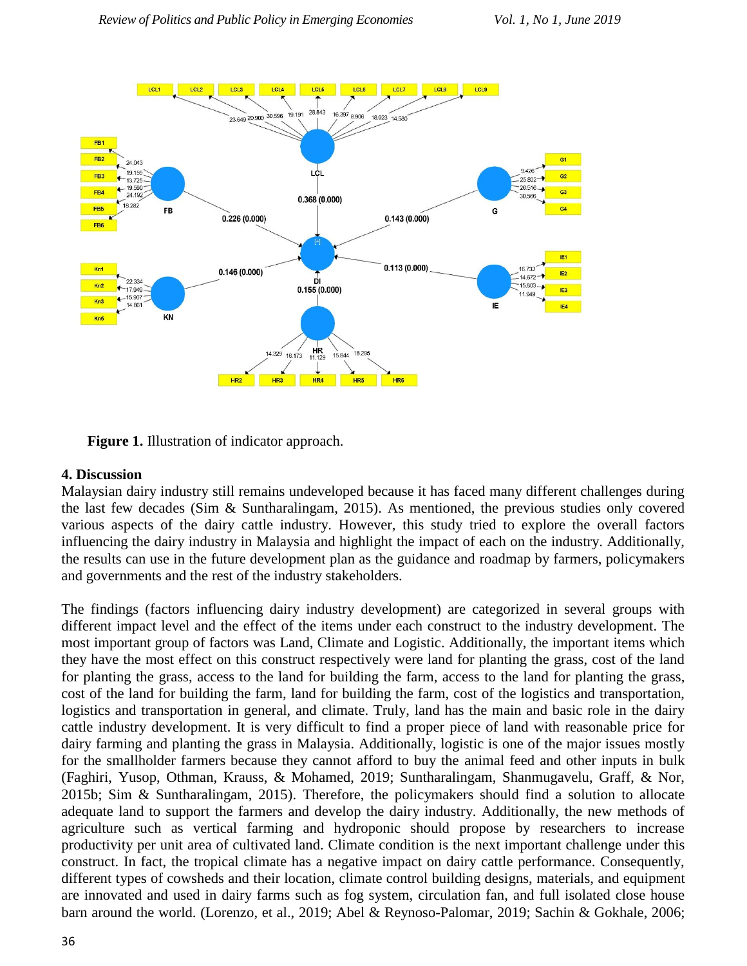

**Figure 1.** Illustration of indicator approach.

#### **4. Discussion**

Malaysian dairy industry still remains undeveloped because it has faced many different challenges during the last few decades (Sim & Suntharalingam, 2015). As mentioned, the previous studies only covered various aspects of the dairy cattle industry. However, this study tried to explore the overall factors influencing the dairy industry in Malaysia and highlight the impact of each on the industry. Additionally, the results can use in the future development plan as the guidance and roadmap by farmers, policymakers and governments and the rest of the industry stakeholders.

The findings (factors influencing dairy industry development) are categorized in several groups with different impact level and the effect of the items under each construct to the industry development. The most important group of factors was Land, Climate and Logistic. Additionally, the important items which they have the most effect on this construct respectively were land for planting the grass, cost of the land for planting the grass, access to the land for building the farm, access to the land for planting the grass, cost of the land for building the farm, land for building the farm, cost of the logistics and transportation, logistics and transportation in general, and climate. Truly, land has the main and basic role in the dairy cattle industry development. It is very difficult to find a proper piece of land with reasonable price for dairy farming and planting the grass in Malaysia. Additionally, logistic is one of the major issues mostly for the smallholder farmers because they cannot afford to buy the animal feed and other inputs in bulk (Faghiri, Yusop, Othman, Krauss, & Mohamed, 2019; Suntharalingam, Shanmugavelu, Graff, & Nor, 2015b; Sim & Suntharalingam, 2015). Therefore, the policymakers should find a solution to allocate adequate land to support the farmers and develop the dairy industry. Additionally, the new methods of agriculture such as vertical farming and hydroponic should propose by researchers to increase productivity per unit area of cultivated land. Climate condition is the next important challenge under this construct. In fact, the tropical climate has a negative impact on dairy cattle performance. Consequently, different types of cowsheds and their location, climate control building designs, materials, and equipment are innovated and used in dairy farms such as fog system, circulation fan, and full isolated close house barn around the world. (Lorenzo, et al., 2019; Abel & Reynoso-Palomar, 2019; Sachin & Gokhale, 2006;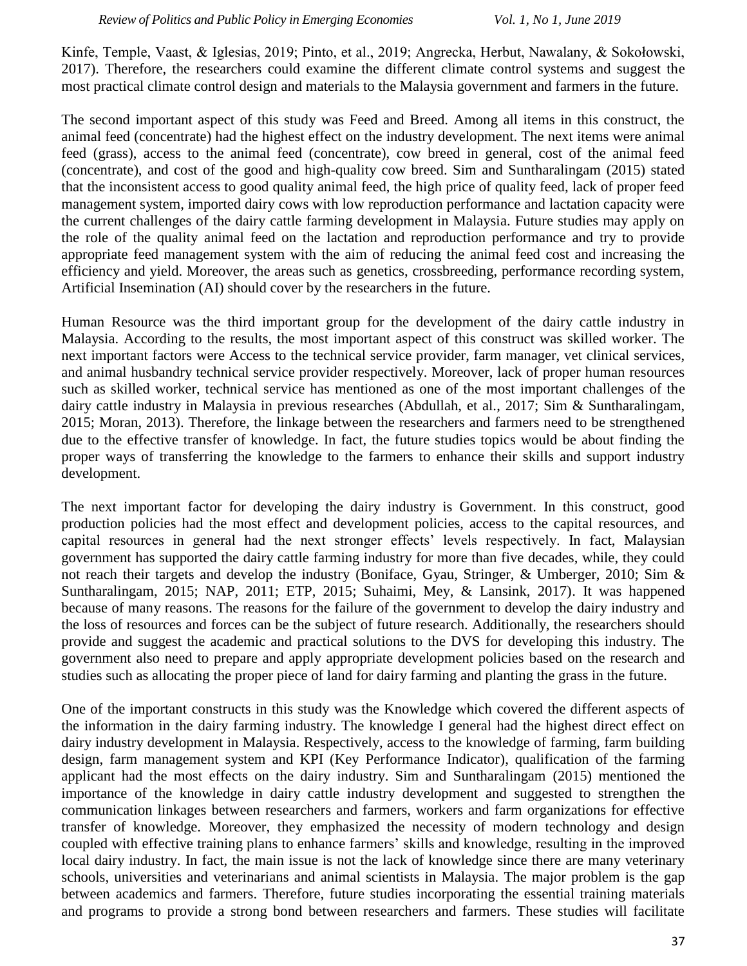Kinfe, Temple, Vaast, & Iglesias, 2019; Pinto, et al., 2019; Angrecka, Herbut, Nawalany, & Sokołowski, 2017). Therefore, the researchers could examine the different climate control systems and suggest the most practical climate control design and materials to the Malaysia government and farmers in the future.

The second important aspect of this study was Feed and Breed. Among all items in this construct, the animal feed (concentrate) had the highest effect on the industry development. The next items were animal feed (grass), access to the animal feed (concentrate), cow breed in general, cost of the animal feed (concentrate), and cost of the good and high-quality cow breed. Sim and Suntharalingam (2015) stated that the inconsistent access to good quality animal feed, the high price of quality feed, lack of proper feed management system, imported dairy cows with low reproduction performance and lactation capacity were the current challenges of the dairy cattle farming development in Malaysia. Future studies may apply on the role of the quality animal feed on the lactation and reproduction performance and try to provide appropriate feed management system with the aim of reducing the animal feed cost and increasing the efficiency and yield. Moreover, the areas such as genetics, crossbreeding, performance recording system, Artificial Insemination (AI) should cover by the researchers in the future.

Human Resource was the third important group for the development of the dairy cattle industry in Malaysia. According to the results, the most important aspect of this construct was skilled worker. The next important factors were Access to the technical service provider, farm manager, vet clinical services, and animal husbandry technical service provider respectively. Moreover, lack of proper human resources such as skilled worker, technical service has mentioned as one of the most important challenges of the dairy cattle industry in Malaysia in previous researches (Abdullah, et al., 2017; Sim & Suntharalingam, 2015; Moran, 2013). Therefore, the linkage between the researchers and farmers need to be strengthened due to the effective transfer of knowledge. In fact, the future studies topics would be about finding the proper ways of transferring the knowledge to the farmers to enhance their skills and support industry development.

The next important factor for developing the dairy industry is Government. In this construct, good production policies had the most effect and development policies, access to the capital resources, and capital resources in general had the next stronger effects' levels respectively. In fact, Malaysian government has supported the dairy cattle farming industry for more than five decades, while, they could not reach their targets and develop the industry (Boniface, Gyau, Stringer, & Umberger, 2010; Sim & Suntharalingam, 2015; NAP, 2011; ETP, 2015; Suhaimi, Mey, & Lansink, 2017). It was happened because of many reasons. The reasons for the failure of the government to develop the dairy industry and the loss of resources and forces can be the subject of future research. Additionally, the researchers should provide and suggest the academic and practical solutions to the DVS for developing this industry. The government also need to prepare and apply appropriate development policies based on the research and studies such as allocating the proper piece of land for dairy farming and planting the grass in the future.

One of the important constructs in this study was the Knowledge which covered the different aspects of the information in the dairy farming industry. The knowledge I general had the highest direct effect on dairy industry development in Malaysia. Respectively, access to the knowledge of farming, farm building design, farm management system and KPI (Key Performance Indicator), qualification of the farming applicant had the most effects on the dairy industry. Sim and Suntharalingam (2015) mentioned the importance of the knowledge in dairy cattle industry development and suggested to strengthen the communication linkages between researchers and farmers, workers and farm organizations for effective transfer of knowledge. Moreover, they emphasized the necessity of modern technology and design coupled with effective training plans to enhance farmers' skills and knowledge, resulting in the improved local dairy industry. In fact, the main issue is not the lack of knowledge since there are many veterinary schools, universities and veterinarians and animal scientists in Malaysia. The major problem is the gap between academics and farmers. Therefore, future studies incorporating the essential training materials and programs to provide a strong bond between researchers and farmers. These studies will facilitate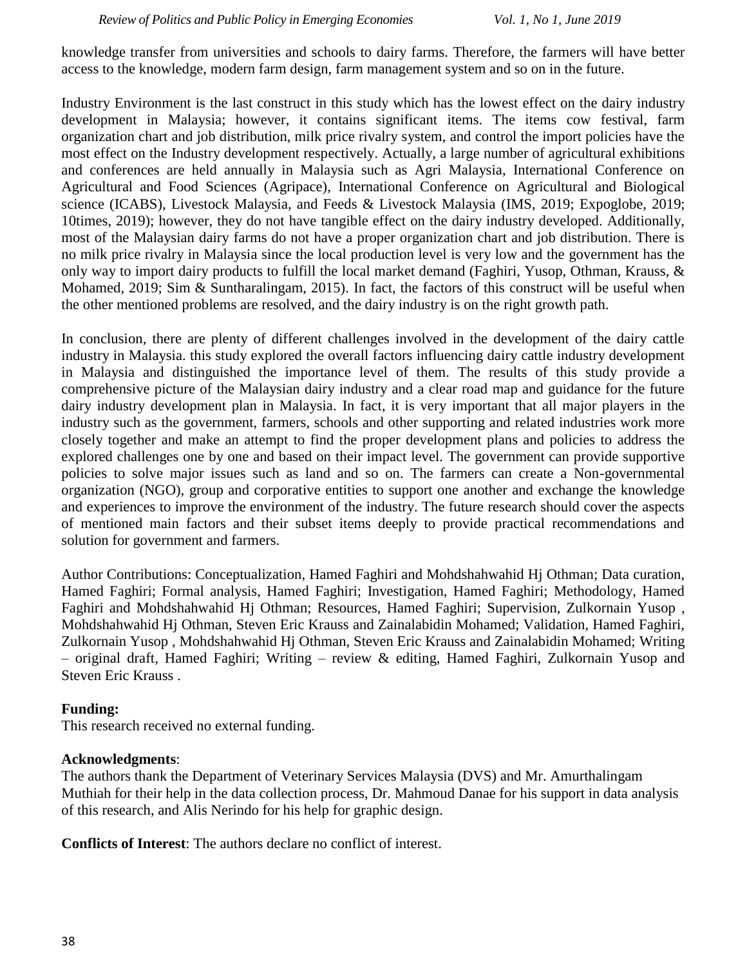knowledge transfer from universities and schools to dairy farms. Therefore, the farmers will have better access to the knowledge, modern farm design, farm management system and so on in the future.

Industry Environment is the last construct in this study which has the lowest effect on the dairy industry development in Malaysia; however, it contains significant items. The items cow festival, farm organization chart and job distribution, milk price rivalry system, and control the import policies have the most effect on the Industry development respectively. Actually, a large number of agricultural exhibitions and conferences are held annually in Malaysia such as Agri Malaysia, International Conference on Agricultural and Food Sciences (Agripace), International Conference on Agricultural and Biological science (ICABS), Livestock Malaysia, and Feeds & Livestock Malaysia (IMS, 2019; Expoglobe, 2019; 10times, 2019); however, they do not have tangible effect on the dairy industry developed. Additionally, most of the Malaysian dairy farms do not have a proper organization chart and job distribution. There is no milk price rivalry in Malaysia since the local production level is very low and the government has the only way to import dairy products to fulfill the local market demand (Faghiri, Yusop, Othman, Krauss, & Mohamed, 2019; Sim & Suntharalingam, 2015). In fact, the factors of this construct will be useful when the other mentioned problems are resolved, and the dairy industry is on the right growth path.

In conclusion, there are plenty of different challenges involved in the development of the dairy cattle industry in Malaysia. this study explored the overall factors influencing dairy cattle industry development in Malaysia and distinguished the importance level of them. The results of this study provide a comprehensive picture of the Malaysian dairy industry and a clear road map and guidance for the future dairy industry development plan in Malaysia. In fact, it is very important that all major players in the industry such as the government, farmers, schools and other supporting and related industries work more closely together and make an attempt to find the proper development plans and policies to address the explored challenges one by one and based on their impact level. The government can provide supportive policies to solve major issues such as land and so on. The farmers can create a Non-governmental organization (NGO), group and corporative entities to support one another and exchange the knowledge and experiences to improve the environment of the industry. The future research should cover the aspects of mentioned main factors and their subset items deeply to provide practical recommendations and solution for government and farmers.

Author Contributions: Conceptualization, Hamed Faghiri and Mohdshahwahid Hj Othman; Data curation, Hamed Faghiri; Formal analysis, Hamed Faghiri; Investigation, Hamed Faghiri; Methodology, Hamed Faghiri and Mohdshahwahid Hj Othman; Resources, Hamed Faghiri; Supervision, Zulkornain Yusop , Mohdshahwahid Hj Othman, Steven Eric Krauss and Zainalabidin Mohamed; Validation, Hamed Faghiri, Zulkornain Yusop , Mohdshahwahid Hj Othman, Steven Eric Krauss and Zainalabidin Mohamed; Writing – original draft, Hamed Faghiri; Writing – review & editing, Hamed Faghiri, Zulkornain Yusop and Steven Eric Krauss .

#### **Funding:**

This research received no external funding.

#### **Acknowledgments**:

The authors thank the Department of Veterinary Services Malaysia (DVS) and Mr. Amurthalingam Muthiah for their help in the data collection process, Dr. Mahmoud Danae for his support in data analysis of this research, and Alis Nerindo for his help for graphic design.

**Conflicts of Interest**: The authors declare no conflict of interest.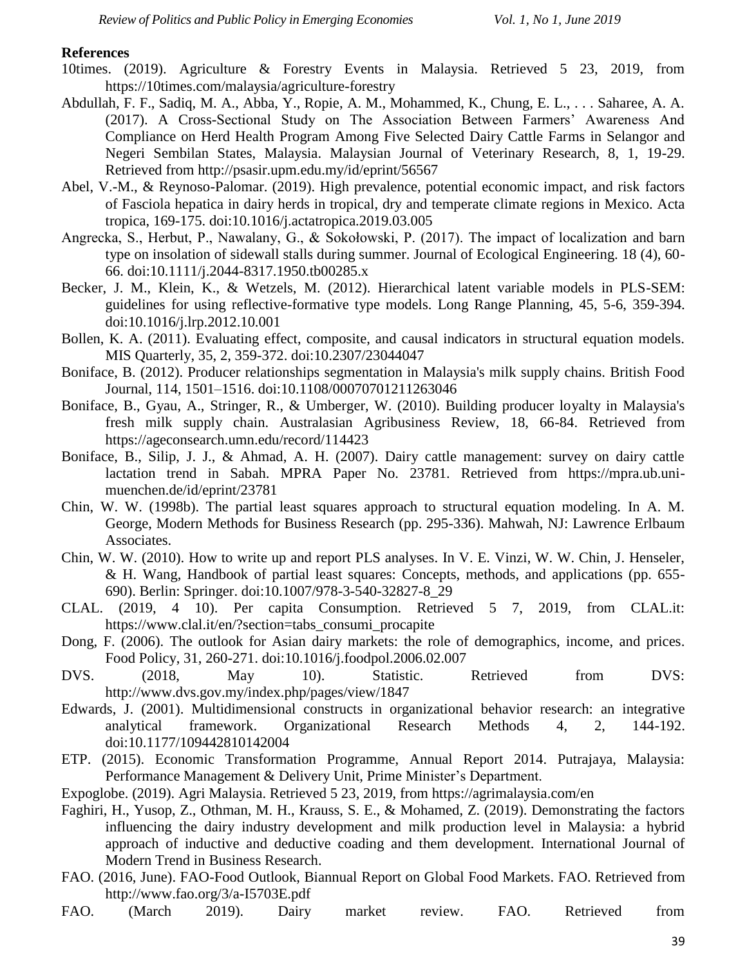#### **References**

- 10times. (2019). Agriculture & Forestry Events in Malaysia. Retrieved 5 23, 2019, from https://10times.com/malaysia/agriculture-forestry
- Abdullah, F. F., Sadiq, M. A., Abba, Y., Ropie, A. M., Mohammed, K., Chung, E. L., . . . Saharee, A. A. (2017). A Cross-Sectional Study on The Association Between Farmers' Awareness And Compliance on Herd Health Program Among Five Selected Dairy Cattle Farms in Selangor and Negeri Sembilan States, Malaysia. Malaysian Journal of Veterinary Research, 8, 1, 19-29. Retrieved from http://psasir.upm.edu.my/id/eprint/56567
- Abel, V.-M., & Reynoso-Palomar. (2019). High prevalence, potential economic impact, and risk factors of Fasciola hepatica in dairy herds in tropical, dry and temperate climate regions in Mexico. Acta tropica, 169-175. doi:10.1016/j.actatropica.2019.03.005
- Angrecka, S., Herbut, P., Nawalany, G., & Sokołowski, P. (2017). The impact of localization and barn type on insolation of sidewall stalls during summer. Journal of Ecological Engineering. 18 (4), 60- 66. doi:10.1111/j.2044-8317.1950.tb00285.x
- Becker, J. M., Klein, K., & Wetzels, M. (2012). Hierarchical latent variable models in PLS-SEM: guidelines for using reflective-formative type models. Long Range Planning, 45, 5-6, 359-394. doi:10.1016/j.lrp.2012.10.001
- Bollen, K. A. (2011). Evaluating effect, composite, and causal indicators in structural equation models. MIS Quarterly, 35, 2, 359-372. doi:10.2307/23044047
- Boniface, B. (2012). Producer relationships segmentation in Malaysia's milk supply chains. British Food Journal, 114, 1501–1516. doi:10.1108/00070701211263046
- Boniface, B., Gyau, A., Stringer, R., & Umberger, W. (2010). Building producer loyalty in Malaysia's fresh milk supply chain. Australasian Agribusiness Review, 18, 66-84. Retrieved from https://ageconsearch.umn.edu/record/114423
- Boniface, B., Silip, J. J., & Ahmad, A. H. (2007). Dairy cattle management: survey on dairy cattle lactation trend in Sabah. MPRA Paper No. 23781. Retrieved from https://mpra.ub.unimuenchen.de/id/eprint/23781
- Chin, W. W. (1998b). The partial least squares approach to structural equation modeling. In A. M. George, Modern Methods for Business Research (pp. 295-336). Mahwah, NJ: Lawrence Erlbaum Associates.
- Chin, W. W. (2010). How to write up and report PLS analyses. In V. E. Vinzi, W. W. Chin, J. Henseler, & H. Wang, Handbook of partial least squares: Concepts, methods, and applications (pp. 655- 690). Berlin: Springer. doi:10.1007/978-3-540-32827-8\_29
- CLAL. (2019, 4 10). Per capita Consumption. Retrieved 5 7, 2019, from CLAL.it: https://www.clal.it/en/?section=tabs\_consumi\_procapite
- Dong, F. (2006). The outlook for Asian dairy markets: the role of demographics, income, and prices. Food Policy, 31, 260-271. doi:10.1016/j.foodpol.2006.02.007
- DVS. (2018, May 10). Statistic. Retrieved from DVS: http://www.dvs.gov.my/index.php/pages/view/1847
- Edwards, J. (2001). Multidimensional constructs in organizational behavior research: an integrative analytical framework. Organizational Research Methods 4, 2, 144-192. doi:10.1177/109442810142004
- ETP. (2015). Economic Transformation Programme, Annual Report 2014. Putrajaya, Malaysia: Performance Management & Delivery Unit, Prime Minister's Department.
- Expoglobe. (2019). Agri Malaysia. Retrieved 5 23, 2019, from https://agrimalaysia.com/en
- Faghiri, H., Yusop, Z., Othman, M. H., Krauss, S. E., & Mohamed, Z. (2019). Demonstrating the factors influencing the dairy industry development and milk production level in Malaysia: a hybrid approach of inductive and deductive coading and them development. International Journal of Modern Trend in Business Research.
- FAO. (2016, June). FAO-Food Outlook, Biannual Report on Global Food Markets. FAO. Retrieved from http://www.fao.org/3/a-I5703E.pdf
- FAO. (March 2019). Dairy market review. FAO. Retrieved from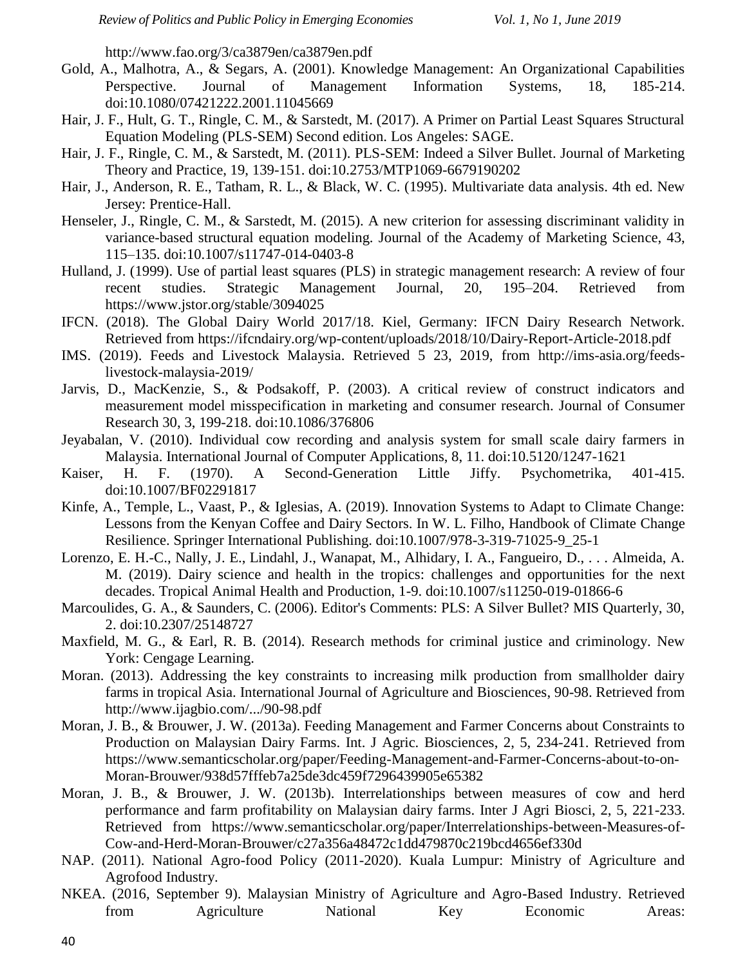http://www.fao.org/3/ca3879en/ca3879en.pdf

- Gold, A., Malhotra, A., & Segars, A. (2001). Knowledge Management: An Organizational Capabilities Perspective. Journal of Management Information Systems, 18, 185-214. doi:10.1080/07421222.2001.11045669
- Hair, J. F., Hult, G. T., Ringle, C. M., & Sarstedt, M. (2017). A Primer on Partial Least Squares Structural Equation Modeling (PLS-SEM) Second edition. Los Angeles: SAGE.
- Hair, J. F., Ringle, C. M., & Sarstedt, M. (2011). PLS-SEM: Indeed a Silver Bullet. Journal of Marketing Theory and Practice, 19, 139-151. doi:10.2753/MTP1069-6679190202
- Hair, J., Anderson, R. E., Tatham, R. L., & Black, W. C. (1995). Multivariate data analysis. 4th ed. New Jersey: Prentice-Hall.
- Henseler, J., Ringle, C. M., & Sarstedt, M. (2015). A new criterion for assessing discriminant validity in variance-based structural equation modeling. Journal of the Academy of Marketing Science, 43, 115–135. doi:10.1007/s11747-014-0403-8
- Hulland, J. (1999). Use of partial least squares (PLS) in strategic management research: A review of four recent studies. Strategic Management Journal, 20, 195–204. Retrieved from https://www.jstor.org/stable/3094025
- IFCN. (2018). The Global Dairy World 2017/18. Kiel, Germany: IFCN Dairy Research Network. Retrieved from https://ifcndairy.org/wp-content/uploads/2018/10/Dairy-Report-Article-2018.pdf
- IMS. (2019). Feeds and Livestock Malaysia. Retrieved 5 23, 2019, from http://ims-asia.org/feedslivestock-malaysia-2019/
- Jarvis, D., MacKenzie, S., & Podsakoff, P. (2003). A critical review of construct indicators and measurement model misspecification in marketing and consumer research. Journal of Consumer Research 30, 3, 199-218. doi:10.1086/376806
- Jeyabalan, V. (2010). Individual cow recording and analysis system for small scale dairy farmers in Malaysia. International Journal of Computer Applications, 8, 11. doi:10.5120/1247-1621
- Kaiser, H. F. (1970). A Second-Generation Little Jiffy. Psychometrika, 401-415. doi:10.1007/BF02291817
- Kinfe, A., Temple, L., Vaast, P., & Iglesias, A. (2019). Innovation Systems to Adapt to Climate Change: Lessons from the Kenyan Coffee and Dairy Sectors. In W. L. Filho, Handbook of Climate Change Resilience. Springer International Publishing. doi:10.1007/978-3-319-71025-9\_25-1
- Lorenzo, E. H.-C., Nally, J. E., Lindahl, J., Wanapat, M., Alhidary, I. A., Fangueiro, D., . . . Almeida, A. M. (2019). Dairy science and health in the tropics: challenges and opportunities for the next decades. Tropical Animal Health and Production, 1-9. doi:10.1007/s11250-019-01866-6
- Marcoulides, G. A., & Saunders, C. (2006). Editor's Comments: PLS: A Silver Bullet? MIS Quarterly, 30, 2. doi:10.2307/25148727
- Maxfield, M. G., & Earl, R. B. (2014). Research methods for criminal justice and criminology. New York: Cengage Learning.
- Moran. (2013). Addressing the key constraints to increasing milk production from smallholder dairy farms in tropical Asia. International Journal of Agriculture and Biosciences, 90-98. Retrieved from http://www.ijagbio.com/.../90-98.pdf
- Moran, J. B., & Brouwer, J. W. (2013a). Feeding Management and Farmer Concerns about Constraints to Production on Malaysian Dairy Farms. Int. J Agric. Biosciences, 2, 5, 234-241. Retrieved from https://www.semanticscholar.org/paper/Feeding-Management-and-Farmer-Concerns-about-to-on-Moran-Brouwer/938d57fffeb7a25de3dc459f7296439905e65382
- Moran, J. B., & Brouwer, J. W. (2013b). Interrelationships between measures of cow and herd performance and farm profitability on Malaysian dairy farms. Inter J Agri Biosci, 2, 5, 221-233. Retrieved from https://www.semanticscholar.org/paper/Interrelationships-between-Measures-of-Cow-and-Herd-Moran-Brouwer/c27a356a48472c1dd479870c219bcd4656ef330d
- NAP. (2011). National Agro-food Policy (2011-2020). Kuala Lumpur: Ministry of Agriculture and Agrofood Industry.
- NKEA. (2016, September 9). Malaysian Ministry of Agriculture and Agro-Based Industry. Retrieved from Agriculture National Key Economic Areas: